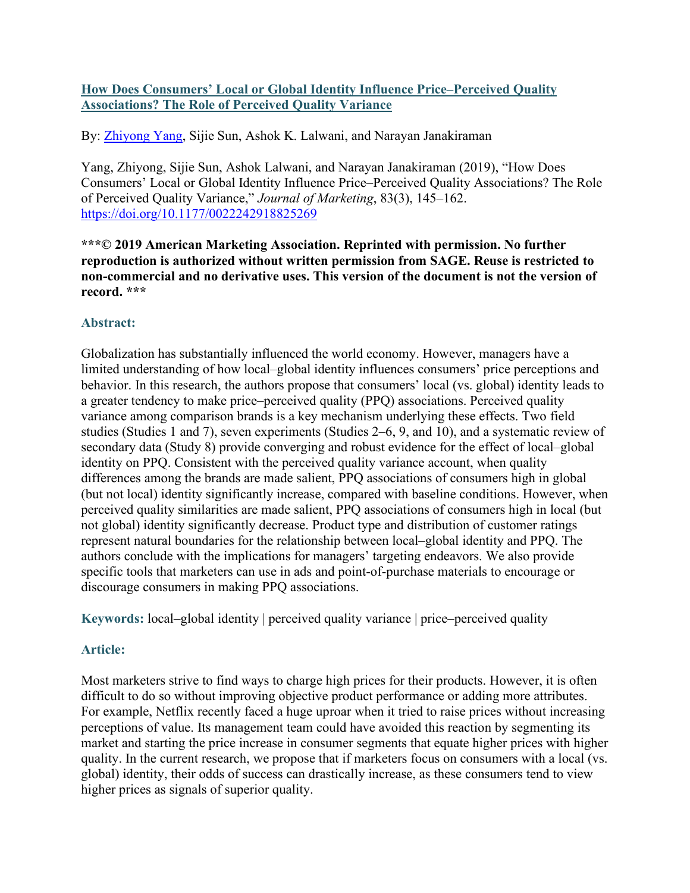# **How Does Consumers' Local or Global Identity Influence Price–Perceived Quality Associations? The Role of Perceived Quality Variance**

By: [Zhiyong Yang,](https://libres.uncg.edu/ir/uncg/clist.aspx?id=25898) Sijie Sun, Ashok K. Lalwani, and Narayan Janakiraman

Yang, Zhiyong, Sijie Sun, Ashok Lalwani, and Narayan Janakiraman (2019), "How Does Consumers' Local or Global Identity Influence Price–Perceived Quality Associations? The Role of Perceived Quality Variance," *Journal of Marketing*, 83(3), 145–162. <https://doi.org/10.1177/0022242918825269>

**\*\*\*© 2019 American Marketing Association. Reprinted with permission. No further reproduction is authorized without written permission from SAGE. Reuse is restricted to non-commercial and no derivative uses. This version of the document is not the version of record. \*\*\***

# **Abstract:**

Globalization has substantially influenced the world economy. However, managers have a limited understanding of how local–global identity influences consumers' price perceptions and behavior. In this research, the authors propose that consumers' local (vs. global) identity leads to a greater tendency to make price–perceived quality (PPQ) associations. Perceived quality variance among comparison brands is a key mechanism underlying these effects. Two field studies (Studies 1 and 7), seven experiments (Studies 2–6, 9, and 10), and a systematic review of secondary data (Study 8) provide converging and robust evidence for the effect of local–global identity on PPQ. Consistent with the perceived quality variance account, when quality differences among the brands are made salient, PPQ associations of consumers high in global (but not local) identity significantly increase, compared with baseline conditions. However, when perceived quality similarities are made salient, PPQ associations of consumers high in local (but not global) identity significantly decrease. Product type and distribution of customer ratings represent natural boundaries for the relationship between local–global identity and PPQ. The authors conclude with the implications for managers' targeting endeavors. We also provide specific tools that marketers can use in ads and point-of-purchase materials to encourage or discourage consumers in making PPQ associations.

**Keywords:** local–global identity | perceived quality variance | price–perceived quality

# **Article:**

Most marketers strive to find ways to charge high prices for their products. However, it is often difficult to do so without improving objective product performance or adding more attributes. For example, Netflix recently faced a huge uproar when it tried to raise prices without increasing perceptions of value. Its management team could have avoided this reaction by segmenting its market and starting the price increase in consumer segments that equate higher prices with higher quality. In the current research, we propose that if marketers focus on consumers with a local (vs. global) identity, their odds of success can drastically increase, as these consumers tend to view higher prices as signals of superior quality.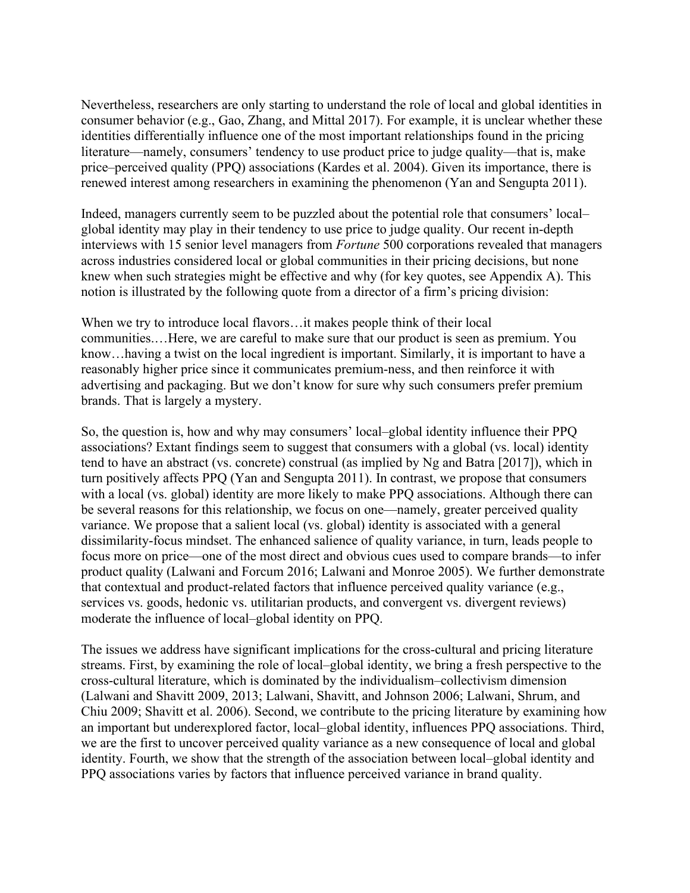Nevertheless, researchers are only starting to understand the role of local and global identities in consumer behavior (e.g., Gao, Zhang, and Mittal 2017). For example, it is unclear whether these identities differentially influence one of the most important relationships found in the pricing literature—namely, consumers' tendency to use product price to judge quality—that is, make price–perceived quality (PPQ) associations (Kardes et al. 2004). Given its importance, there is renewed interest among researchers in examining the phenomenon (Yan and Sengupta 2011).

Indeed, managers currently seem to be puzzled about the potential role that consumers' local– global identity may play in their tendency to use price to judge quality. Our recent in-depth interviews with 15 senior level managers from *Fortune* 500 corporations revealed that managers across industries considered local or global communities in their pricing decisions, but none knew when such strategies might be effective and why (for key quotes, see Appendix A). This notion is illustrated by the following quote from a director of a firm's pricing division:

When we try to introduce local flavors...it makes people think of their local communities.…Here, we are careful to make sure that our product is seen as premium. You know…having a twist on the local ingredient is important. Similarly, it is important to have a reasonably higher price since it communicates premium-ness, and then reinforce it with advertising and packaging. But we don't know for sure why such consumers prefer premium brands. That is largely a mystery.

So, the question is, how and why may consumers' local–global identity influence their PPQ associations? Extant findings seem to suggest that consumers with a global (vs. local) identity tend to have an abstract (vs. concrete) construal (as implied by Ng and Batra [2017]), which in turn positively affects PPQ (Yan and Sengupta 2011). In contrast, we propose that consumers with a local (vs. global) identity are more likely to make PPQ associations. Although there can be several reasons for this relationship, we focus on one—namely, greater perceived quality variance. We propose that a salient local (vs. global) identity is associated with a general dissimilarity-focus mindset. The enhanced salience of quality variance, in turn, leads people to focus more on price—one of the most direct and obvious cues used to compare brands—to infer product quality (Lalwani and Forcum 2016; Lalwani and Monroe 2005). We further demonstrate that contextual and product-related factors that influence perceived quality variance (e.g., services vs. goods, hedonic vs. utilitarian products, and convergent vs. divergent reviews) moderate the influence of local–global identity on PPQ.

The issues we address have significant implications for the cross-cultural and pricing literature streams. First, by examining the role of local–global identity, we bring a fresh perspective to the cross-cultural literature, which is dominated by the individualism–collectivism dimension (Lalwani and Shavitt 2009, 2013; Lalwani, Shavitt, and Johnson 2006; Lalwani, Shrum, and Chiu 2009; Shavitt et al. 2006). Second, we contribute to the pricing literature by examining how an important but underexplored factor, local–global identity, influences PPQ associations. Third, we are the first to uncover perceived quality variance as a new consequence of local and global identity. Fourth, we show that the strength of the association between local–global identity and PPQ associations varies by factors that influence perceived variance in brand quality.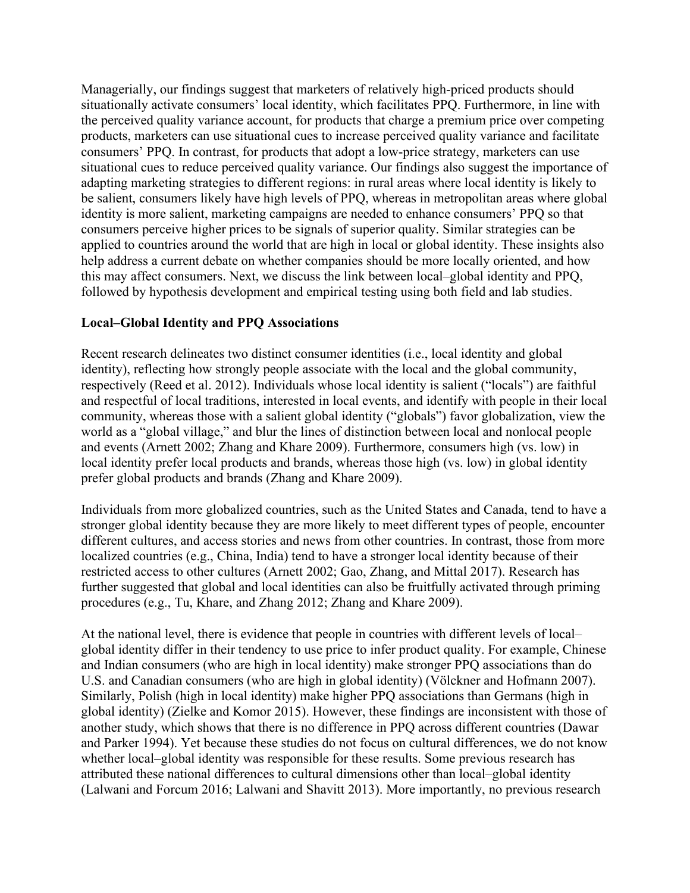Managerially, our findings suggest that marketers of relatively high-priced products should situationally activate consumers' local identity, which facilitates PPQ. Furthermore, in line with the perceived quality variance account, for products that charge a premium price over competing products, marketers can use situational cues to increase perceived quality variance and facilitate consumers' PPQ. In contrast, for products that adopt a low-price strategy, marketers can use situational cues to reduce perceived quality variance. Our findings also suggest the importance of adapting marketing strategies to different regions: in rural areas where local identity is likely to be salient, consumers likely have high levels of PPQ, whereas in metropolitan areas where global identity is more salient, marketing campaigns are needed to enhance consumers' PPQ so that consumers perceive higher prices to be signals of superior quality. Similar strategies can be applied to countries around the world that are high in local or global identity. These insights also help address a current debate on whether companies should be more locally oriented, and how this may affect consumers. Next, we discuss the link between local–global identity and PPQ, followed by hypothesis development and empirical testing using both field and lab studies.

# **Local–Global Identity and PPQ Associations**

Recent research delineates two distinct consumer identities (i.e., local identity and global identity), reflecting how strongly people associate with the local and the global community, respectively (Reed et al. 2012). Individuals whose local identity is salient ("locals") are faithful and respectful of local traditions, interested in local events, and identify with people in their local community, whereas those with a salient global identity ("globals") favor globalization, view the world as a "global village," and blur the lines of distinction between local and nonlocal people and events (Arnett 2002; Zhang and Khare 2009). Furthermore, consumers high (vs. low) in local identity prefer local products and brands, whereas those high (vs. low) in global identity prefer global products and brands (Zhang and Khare 2009).

Individuals from more globalized countries, such as the United States and Canada, tend to have a stronger global identity because they are more likely to meet different types of people, encounter different cultures, and access stories and news from other countries. In contrast, those from more localized countries (e.g., China, India) tend to have a stronger local identity because of their restricted access to other cultures (Arnett 2002; Gao, Zhang, and Mittal 2017). Research has further suggested that global and local identities can also be fruitfully activated through priming procedures (e.g., Tu, Khare, and Zhang 2012; Zhang and Khare 2009).

At the national level, there is evidence that people in countries with different levels of local– global identity differ in their tendency to use price to infer product quality. For example, Chinese and Indian consumers (who are high in local identity) make stronger PPQ associations than do U.S. and Canadian consumers (who are high in global identity) (Völckner and Hofmann 2007). Similarly, Polish (high in local identity) make higher PPQ associations than Germans (high in global identity) (Zielke and Komor 2015). However, these findings are inconsistent with those of another study, which shows that there is no difference in PPQ across different countries (Dawar and Parker 1994). Yet because these studies do not focus on cultural differences, we do not know whether local–global identity was responsible for these results. Some previous research has attributed these national differences to cultural dimensions other than local–global identity (Lalwani and Forcum 2016; Lalwani and Shavitt 2013). More importantly, no previous research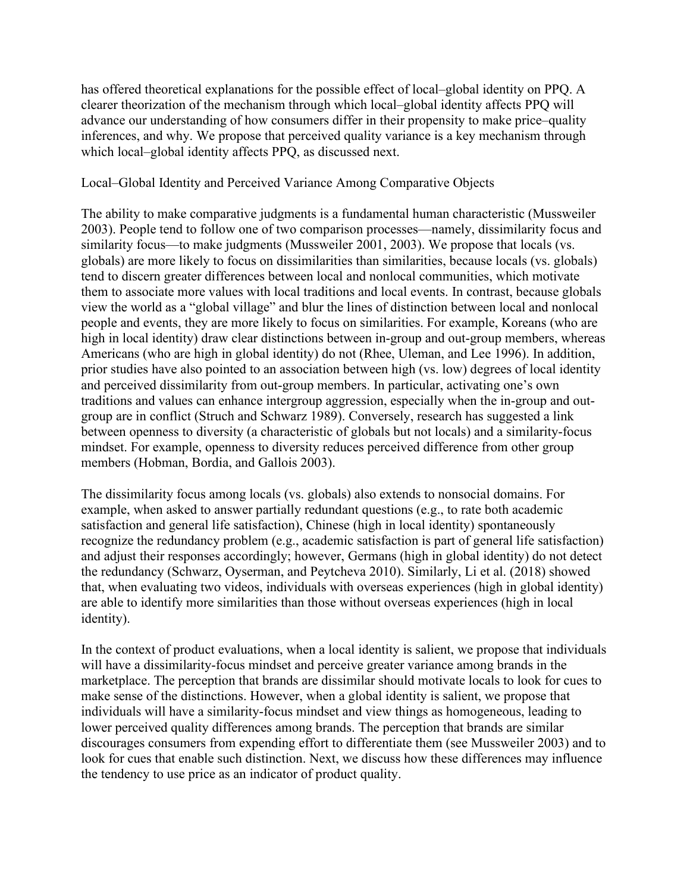has offered theoretical explanations for the possible effect of local–global identity on PPQ. A clearer theorization of the mechanism through which local–global identity affects PPQ will advance our understanding of how consumers differ in their propensity to make price–quality inferences, and why. We propose that perceived quality variance is a key mechanism through which local–global identity affects PPQ, as discussed next.

## Local–Global Identity and Perceived Variance Among Comparative Objects

The ability to make comparative judgments is a fundamental human characteristic (Mussweiler 2003). People tend to follow one of two comparison processes—namely, dissimilarity focus and similarity focus—to make judgments (Mussweiler 2001, 2003). We propose that locals (vs. globals) are more likely to focus on dissimilarities than similarities, because locals (vs. globals) tend to discern greater differences between local and nonlocal communities, which motivate them to associate more values with local traditions and local events. In contrast, because globals view the world as a "global village" and blur the lines of distinction between local and nonlocal people and events, they are more likely to focus on similarities. For example, Koreans (who are high in local identity) draw clear distinctions between in-group and out-group members, whereas Americans (who are high in global identity) do not (Rhee, Uleman, and Lee 1996). In addition, prior studies have also pointed to an association between high (vs. low) degrees of local identity and perceived dissimilarity from out-group members. In particular, activating one's own traditions and values can enhance intergroup aggression, especially when the in-group and outgroup are in conflict (Struch and Schwarz 1989). Conversely, research has suggested a link between openness to diversity (a characteristic of globals but not locals) and a similarity-focus mindset. For example, openness to diversity reduces perceived difference from other group members (Hobman, Bordia, and Gallois 2003).

The dissimilarity focus among locals (vs. globals) also extends to nonsocial domains. For example, when asked to answer partially redundant questions (e.g., to rate both academic satisfaction and general life satisfaction), Chinese (high in local identity) spontaneously recognize the redundancy problem (e.g., academic satisfaction is part of general life satisfaction) and adjust their responses accordingly; however, Germans (high in global identity) do not detect the redundancy (Schwarz, Oyserman, and Peytcheva 2010). Similarly, Li et al. (2018) showed that, when evaluating two videos, individuals with overseas experiences (high in global identity) are able to identify more similarities than those without overseas experiences (high in local identity).

In the context of product evaluations, when a local identity is salient, we propose that individuals will have a dissimilarity-focus mindset and perceive greater variance among brands in the marketplace. The perception that brands are dissimilar should motivate locals to look for cues to make sense of the distinctions. However, when a global identity is salient, we propose that individuals will have a similarity-focus mindset and view things as homogeneous, leading to lower perceived quality differences among brands. The perception that brands are similar discourages consumers from expending effort to differentiate them (see Mussweiler 2003) and to look for cues that enable such distinction. Next, we discuss how these differences may influence the tendency to use price as an indicator of product quality.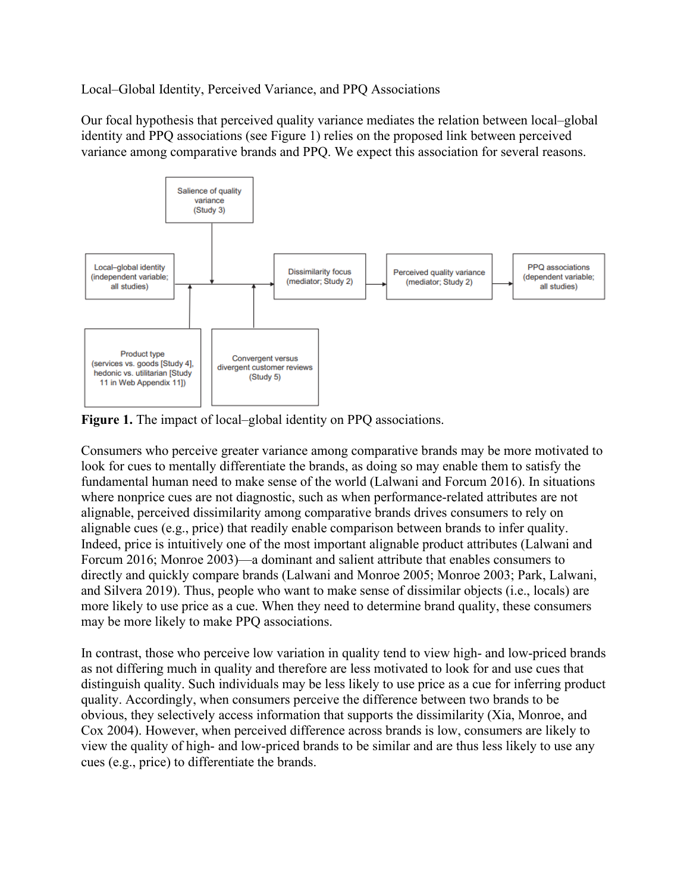Local–Global Identity, Perceived Variance, and PPQ Associations

Our focal hypothesis that perceived quality variance mediates the relation between local–global identity and PPQ associations (see Figure 1) relies on the proposed link between perceived variance among comparative brands and PPQ. We expect this association for several reasons.



**Figure 1.** The impact of local–global identity on PPQ associations.

Consumers who perceive greater variance among comparative brands may be more motivated to look for cues to mentally differentiate the brands, as doing so may enable them to satisfy the fundamental human need to make sense of the world (Lalwani and Forcum 2016). In situations where nonprice cues are not diagnostic, such as when performance-related attributes are not alignable, perceived dissimilarity among comparative brands drives consumers to rely on alignable cues (e.g., price) that readily enable comparison between brands to infer quality. Indeed, price is intuitively one of the most important alignable product attributes (Lalwani and Forcum 2016; Monroe 2003)—a dominant and salient attribute that enables consumers to directly and quickly compare brands (Lalwani and Monroe 2005; Monroe 2003; Park, Lalwani, and Silvera 2019). Thus, people who want to make sense of dissimilar objects (i.e., locals) are more likely to use price as a cue. When they need to determine brand quality, these consumers may be more likely to make PPQ associations.

In contrast, those who perceive low variation in quality tend to view high- and low-priced brands as not differing much in quality and therefore are less motivated to look for and use cues that distinguish quality. Such individuals may be less likely to use price as a cue for inferring product quality. Accordingly, when consumers perceive the difference between two brands to be obvious, they selectively access information that supports the dissimilarity (Xia, Monroe, and Cox 2004). However, when perceived difference across brands is low, consumers are likely to view the quality of high- and low-priced brands to be similar and are thus less likely to use any cues (e.g., price) to differentiate the brands.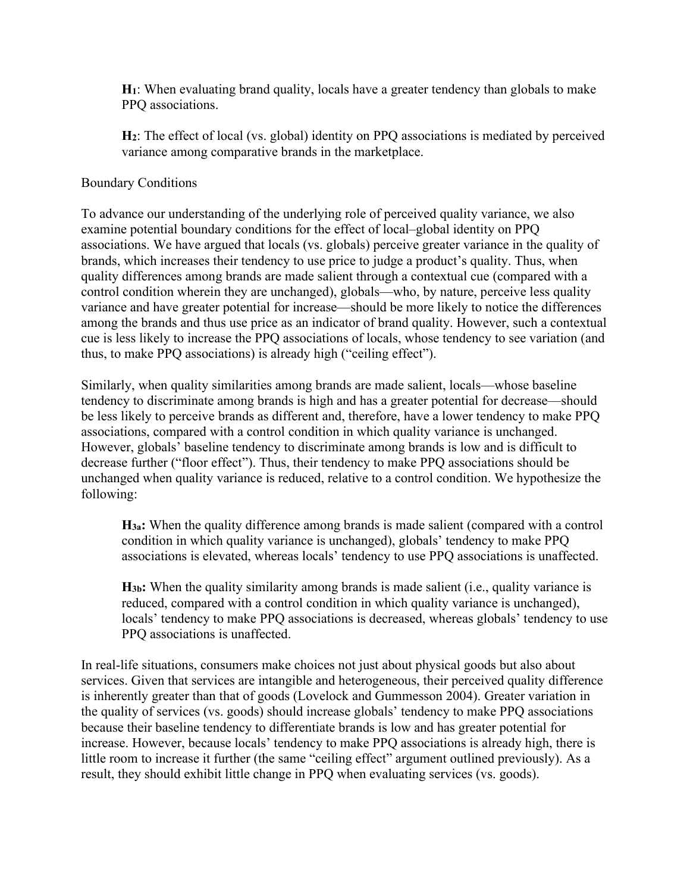**H1**: When evaluating brand quality, locals have a greater tendency than globals to make PPQ associations.

**H2**: The effect of local (vs. global) identity on PPQ associations is mediated by perceived variance among comparative brands in the marketplace.

## Boundary Conditions

To advance our understanding of the underlying role of perceived quality variance, we also examine potential boundary conditions for the effect of local–global identity on PPQ associations. We have argued that locals (vs. globals) perceive greater variance in the quality of brands, which increases their tendency to use price to judge a product's quality. Thus, when quality differences among brands are made salient through a contextual cue (compared with a control condition wherein they are unchanged), globals—who, by nature, perceive less quality variance and have greater potential for increase—should be more likely to notice the differences among the brands and thus use price as an indicator of brand quality. However, such a contextual cue is less likely to increase the PPQ associations of locals, whose tendency to see variation (and thus, to make PPQ associations) is already high ("ceiling effect").

Similarly, when quality similarities among brands are made salient, locals—whose baseline tendency to discriminate among brands is high and has a greater potential for decrease—should be less likely to perceive brands as different and, therefore, have a lower tendency to make PPQ associations, compared with a control condition in which quality variance is unchanged. However, globals' baseline tendency to discriminate among brands is low and is difficult to decrease further ("floor effect"). Thus, their tendency to make PPQ associations should be unchanged when quality variance is reduced, relative to a control condition. We hypothesize the following:

**H3a:** When the quality difference among brands is made salient (compared with a control condition in which quality variance is unchanged), globals' tendency to make PPQ associations is elevated, whereas locals' tendency to use PPQ associations is unaffected.

**H3b:** When the quality similarity among brands is made salient (i.e., quality variance is reduced, compared with a control condition in which quality variance is unchanged), locals' tendency to make PPQ associations is decreased, whereas globals' tendency to use PPQ associations is unaffected.

In real-life situations, consumers make choices not just about physical goods but also about services. Given that services are intangible and heterogeneous, their perceived quality difference is inherently greater than that of goods (Lovelock and Gummesson 2004). Greater variation in the quality of services (vs. goods) should increase globals' tendency to make PPQ associations because their baseline tendency to differentiate brands is low and has greater potential for increase. However, because locals' tendency to make PPQ associations is already high, there is little room to increase it further (the same "ceiling effect" argument outlined previously). As a result, they should exhibit little change in PPQ when evaluating services (vs. goods).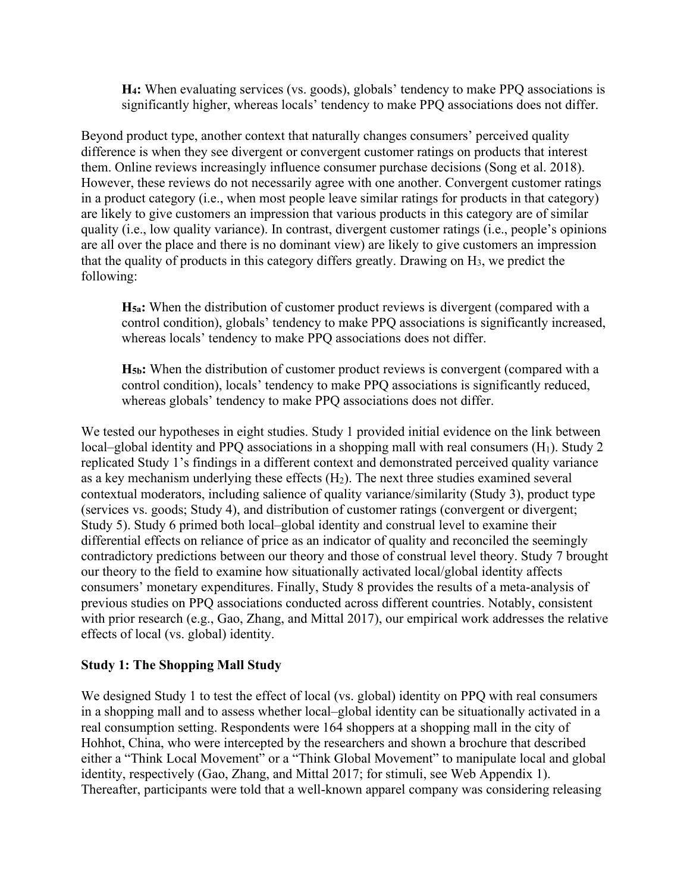**H4:** When evaluating services (vs. goods), globals' tendency to make PPQ associations is significantly higher, whereas locals' tendency to make PPQ associations does not differ.

Beyond product type, another context that naturally changes consumers' perceived quality difference is when they see divergent or convergent customer ratings on products that interest them. Online reviews increasingly influence consumer purchase decisions (Song et al. 2018). However, these reviews do not necessarily agree with one another. Convergent customer ratings in a product category (i.e., when most people leave similar ratings for products in that category) are likely to give customers an impression that various products in this category are of similar quality (i.e., low quality variance). In contrast, divergent customer ratings (i.e., people's opinions are all over the place and there is no dominant view) are likely to give customers an impression that the quality of products in this category differs greatly. Drawing on H3, we predict the following:

**H5a:** When the distribution of customer product reviews is divergent (compared with a control condition), globals' tendency to make PPQ associations is significantly increased, whereas locals' tendency to make PPQ associations does not differ.

**H5b:** When the distribution of customer product reviews is convergent (compared with a control condition), locals' tendency to make PPQ associations is significantly reduced, whereas globals' tendency to make PPQ associations does not differ.

We tested our hypotheses in eight studies. Study 1 provided initial evidence on the link between local–global identity and PPQ associations in a shopping mall with real consumers  $(H_1)$ . Study 2 replicated Study 1's findings in a different context and demonstrated perceived quality variance as a key mechanism underlying these effects  $(H<sub>2</sub>)$ . The next three studies examined several contextual moderators, including salience of quality variance/similarity (Study 3), product type (services vs. goods; Study 4), and distribution of customer ratings (convergent or divergent; Study 5). Study 6 primed both local–global identity and construal level to examine their differential effects on reliance of price as an indicator of quality and reconciled the seemingly contradictory predictions between our theory and those of construal level theory. Study 7 brought our theory to the field to examine how situationally activated local/global identity affects consumers' monetary expenditures. Finally, Study 8 provides the results of a meta-analysis of previous studies on PPQ associations conducted across different countries. Notably, consistent with prior research (e.g., Gao, Zhang, and Mittal 2017), our empirical work addresses the relative effects of local (vs. global) identity.

## **Study 1: The Shopping Mall Study**

We designed Study 1 to test the effect of local (vs. global) identity on PPQ with real consumers in a shopping mall and to assess whether local–global identity can be situationally activated in a real consumption setting. Respondents were 164 shoppers at a shopping mall in the city of Hohhot, China, who were intercepted by the researchers and shown a brochure that described either a "Think Local Movement" or a "Think Global Movement" to manipulate local and global identity, respectively (Gao, Zhang, and Mittal 2017; for stimuli, see Web Appendix 1). Thereafter, participants were told that a well-known apparel company was considering releasing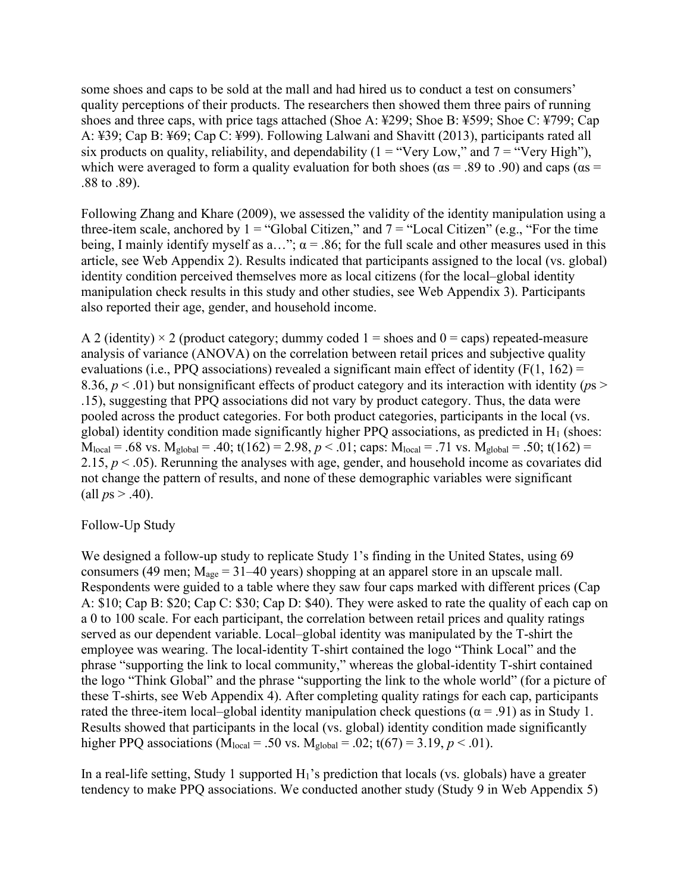some shoes and caps to be sold at the mall and had hired us to conduct a test on consumers' quality perceptions of their products. The researchers then showed them three pairs of running shoes and three caps, with price tags attached (Shoe A: ¥299; Shoe B: ¥599; Shoe C: ¥799; Cap A: ¥39; Cap B: ¥69; Cap C: ¥99). Following Lalwani and Shavitt (2013), participants rated all six products on quality, reliability, and dependability ( $1 =$  "Very Low," and  $7 =$  "Very High"), which were averaged to form a quality evaluation for both shoes ( $\alpha s = .89$  to .90) and caps ( $\alpha s =$ .88 to .89).

Following Zhang and Khare (2009), we assessed the validity of the identity manipulation using a three-item scale, anchored by  $1 =$  "Global Citizen," and  $7 =$  "Local Citizen" (e.g., "For the time being, I mainly identify myself as a...";  $\alpha$  = .86; for the full scale and other measures used in this article, see Web Appendix 2). Results indicated that participants assigned to the local (vs. global) identity condition perceived themselves more as local citizens (for the local–global identity manipulation check results in this study and other studies, see Web Appendix 3). Participants also reported their age, gender, and household income.

A 2 (identity)  $\times$  2 (product category; dummy coded 1 = shoes and 0 = caps) repeated-measure analysis of variance (ANOVA) on the correlation between retail prices and subjective quality evaluations (i.e., PPQ associations) revealed a significant main effect of identity ( $F(1, 162) =$ 8.36, *p* < .01) but nonsignificant effects of product category and its interaction with identity (*p*s > .15), suggesting that PPQ associations did not vary by product category. Thus, the data were pooled across the product categories. For both product categories, participants in the local (vs. global) identity condition made significantly higher PPQ associations, as predicted in  $H_1$  (shoes:  $M_{\text{local}} = .68 \text{ vs. } M_{\text{global}} = .40$ ; t(162) = 2.98, *p* < .01; caps:  $M_{\text{local}} = .71 \text{ vs. } M_{\text{global}} = .50$ ; t(162) = 2.15,  $p < .05$ ). Rerunning the analyses with age, gender, and household income as covariates did not change the pattern of results, and none of these demographic variables were significant (all  $ps > .40$ ).

## Follow-Up Study

We designed a follow-up study to replicate Study 1's finding in the United States, using 69 consumers (49 men;  $M_{\text{age}} = 31{\text -}40$  years) shopping at an apparel store in an upscale mall. Respondents were guided to a table where they saw four caps marked with different prices (Cap A: \$10; Cap B: \$20; Cap C: \$30; Cap D: \$40). They were asked to rate the quality of each cap on a 0 to 100 scale. For each participant, the correlation between retail prices and quality ratings served as our dependent variable. Local–global identity was manipulated by the T-shirt the employee was wearing. The local-identity T-shirt contained the logo "Think Local" and the phrase "supporting the link to local community," whereas the global-identity T-shirt contained the logo "Think Global" and the phrase "supporting the link to the whole world" (for a picture of these T-shirts, see Web Appendix 4). After completing quality ratings for each cap, participants rated the three-item local–global identity manipulation check questions ( $\alpha$  = .91) as in Study 1. Results showed that participants in the local (vs. global) identity condition made significantly higher PPQ associations ( $M_{local} = .50$  vs.  $M_{global} = .02$ ;  $t(67) = 3.19, p < .01$ ).

In a real-life setting, Study 1 supported  $H_1$ 's prediction that locals (vs. globals) have a greater tendency to make PPQ associations. We conducted another study (Study 9 in Web Appendix 5)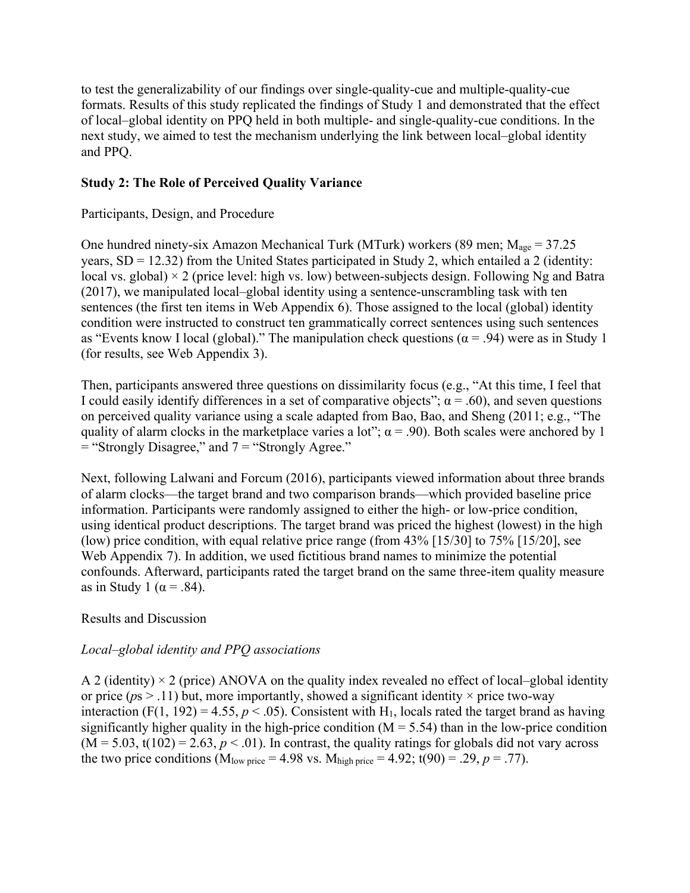to test the generalizability of our findings over single-quality-cue and multiple-quality-cue formats. Results of this study replicated the findings of Study 1 and demonstrated that the effect of local–global identity on PPQ held in both multiple- and single-quality-cue conditions. In the next study, we aimed to test the mechanism underlying the link between local–global identity and PPQ.

## **Study 2: The Role of Perceived Quality Variance**

Participants, Design, and Procedure

One hundred ninety-six Amazon Mechanical Turk (MTurk) workers (89 men;  $M_{\text{age}} = 37.25$ years,  $SD = 12.32$ ) from the United States participated in Study 2, which entailed a 2 (identity: local vs. global)  $\times$  2 (price level: high vs. low) between-subjects design. Following Ng and Batra (2017), we manipulated local–global identity using a sentence-unscrambling task with ten sentences (the first ten items in Web Appendix 6). Those assigned to the local (global) identity condition were instructed to construct ten grammatically correct sentences using such sentences as "Events know I local (global)." The manipulation check questions ( $\alpha$  = .94) were as in Study 1 (for results, see Web Appendix 3).

Then, participants answered three questions on dissimilarity focus (e.g., "At this time, I feel that I could easily identify differences in a set of comparative objects";  $\alpha$  = .60), and seven questions on perceived quality variance using a scale adapted from Bao, Bao, and Sheng (2011; e.g., "The quality of alarm clocks in the marketplace varies a lot";  $\alpha$  = .90). Both scales were anchored by 1 = "Strongly Disagree," and 7 = "Strongly Agree."

Next, following Lalwani and Forcum (2016), participants viewed information about three brands of alarm clocks—the target brand and two comparison brands—which provided baseline price information. Participants were randomly assigned to either the high- or low-price condition, using identical product descriptions. The target brand was priced the highest (lowest) in the high (low) price condition, with equal relative price range (from 43% [15/30] to 75% [15/20], see Web Appendix 7). In addition, we used fictitious brand names to minimize the potential confounds. Afterward, participants rated the target brand on the same three-item quality measure as in Study 1 ( $\alpha$  = .84).

# Results and Discussion

# *Local–global identity and PPQ associations*

A 2 (identity)  $\times$  2 (price) ANOVA on the quality index revealed no effect of local–global identity or price ( $p_s > 0.11$ ) but, more importantly, showed a significant identity  $\times$  price two-way interaction (F(1, 192) = 4.55,  $p < .05$ ). Consistent with H<sub>1</sub>, locals rated the target brand as having significantly higher quality in the high-price condition ( $M = 5.54$ ) than in the low-price condition  $(M = 5.03, t(102) = 2.63, p < .01)$ . In contrast, the quality ratings for globals did not vary across the two price conditions ( $M_{low\ price} = 4.98$  vs.  $M_{high\ price} = 4.92$ ;  $t(90) = .29$ ,  $p = .77$ ).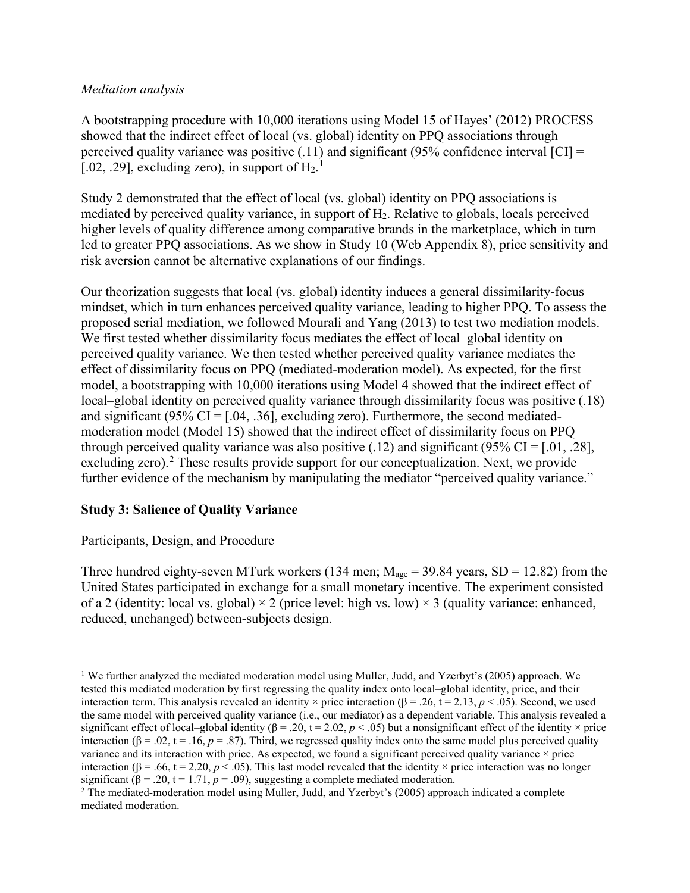## *Mediation analysis*

A bootstrapping procedure with 10,000 iterations using Model 15 of Hayes' (2012) PROCESS showed that the indirect effect of local (vs. global) identity on PPQ associations through perceived quality variance was positive  $(.11)$  and significant (95% confidence interval  $|CI| =$ [.02, .29], excluding zero), in support of  $H_2$ .<sup>[1](#page-9-0)</sup>

Study 2 demonstrated that the effect of local (vs. global) identity on PPQ associations is mediated by perceived quality variance, in support of H2. Relative to globals, locals perceived higher levels of quality difference among comparative brands in the marketplace, which in turn led to greater PPQ associations. As we show in Study 10 (Web Appendix 8), price sensitivity and risk aversion cannot be alternative explanations of our findings.

Our theorization suggests that local (vs. global) identity induces a general dissimilarity-focus mindset, which in turn enhances perceived quality variance, leading to higher PPQ. To assess the proposed serial mediation, we followed Mourali and Yang (2013) to test two mediation models. We first tested whether dissimilarity focus mediates the effect of local–global identity on perceived quality variance. We then tested whether perceived quality variance mediates the effect of dissimilarity focus on PPQ (mediated-moderation model). As expected, for the first model, a bootstrapping with 10,000 iterations using Model 4 showed that the indirect effect of local–global identity on perceived quality variance through dissimilarity focus was positive (.18) and significant (95% CI =  $[0.04, 0.36]$ , excluding zero). Furthermore, the second mediatedmoderation model (Model 15) showed that the indirect effect of dissimilarity focus on PPQ through perceived quality variance was also positive  $(.12)$  and significant  $(95\% \text{ CI} = [.01, .28]$ , excluding zero).<sup>[2](#page-9-1)</sup> These results provide support for our conceptualization. Next, we provide further evidence of the mechanism by manipulating the mediator "perceived quality variance."

# **Study 3: Salience of Quality Variance**

Participants, Design, and Procedure

Three hundred eighty-seven MTurk workers (134 men;  $M_{\text{age}} = 39.84$  years, SD = 12.82) from the United States participated in exchange for a small monetary incentive. The experiment consisted of a 2 (identity: local vs. global)  $\times$  2 (price level: high vs. low)  $\times$  3 (quality variance: enhanced, reduced, unchanged) between-subjects design.

<span id="page-9-0"></span><sup>&</sup>lt;sup>1</sup> We further analyzed the mediated moderation model using Muller, Judd, and Yzerbyt's (2005) approach. We tested this mediated moderation by first regressing the quality index onto local–global identity, price, and their interaction term. This analysis revealed an identity × price interaction (β = .26, t = 2.13,  $p < .05$ ). Second, we used the same model with perceived quality variance (i.e., our mediator) as a dependent variable. This analysis revealed a significant effect of local–global identity ( $\beta = 0.20$ ,  $t = 2.02$ ,  $p < 0.05$ ) but a nonsignificant effect of the identity × price interaction (β = .02, t = .16,  $p = .87$ ). Third, we regressed quality index onto the same model plus perceived quality variance and its interaction with price. As expected, we found a significant perceived quality variance  $\times$  price interaction (β = .66, t = 2.20,  $p$  < .05). This last model revealed that the identity × price interaction was no longer significant ( $\beta$  = .20, t = 1.71,  $p$  = .09), suggesting a complete mediated moderation.

<span id="page-9-1"></span><sup>&</sup>lt;sup>2</sup> The mediated-moderation model using Muller, Judd, and Yzerbyt's (2005) approach indicated a complete mediated moderation.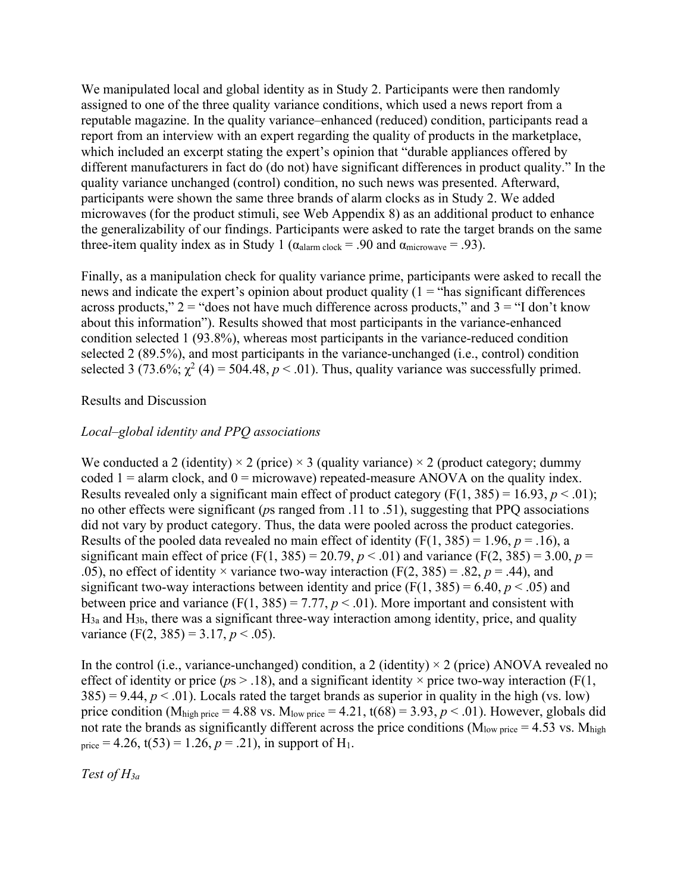We manipulated local and global identity as in Study 2. Participants were then randomly assigned to one of the three quality variance conditions, which used a news report from a reputable magazine. In the quality variance–enhanced (reduced) condition, participants read a report from an interview with an expert regarding the quality of products in the marketplace, which included an excerpt stating the expert's opinion that "durable appliances offered by different manufacturers in fact do (do not) have significant differences in product quality." In the quality variance unchanged (control) condition, no such news was presented. Afterward, participants were shown the same three brands of alarm clocks as in Study 2. We added microwaves (for the product stimuli, see Web Appendix 8) as an additional product to enhance the generalizability of our findings. Participants were asked to rate the target brands on the same three-item quality index as in Study 1 ( $\alpha_{\text{alarm clock}} = .90$  and  $\alpha_{\text{microwave}} = .93$ ).

Finally, as a manipulation check for quality variance prime, participants were asked to recall the news and indicate the expert's opinion about product quality  $(1 - \alpha)$  significant differences across products,"  $2 =$  "does not have much difference across products," and  $3 =$  "I don't know about this information"). Results showed that most participants in the variance-enhanced condition selected 1 (93.8%), whereas most participants in the variance-reduced condition selected 2 (89.5%), and most participants in the variance-unchanged (i.e., control) condition selected 3 (73.6%;  $\chi^2$  (4) = 504.48,  $p < .01$ ). Thus, quality variance was successfully primed.

#### Results and Discussion

## *Local–global identity and PPQ associations*

We conducted a 2 (identity)  $\times$  2 (price)  $\times$  3 (quality variance)  $\times$  2 (product category; dummy coded  $1 =$  alarm clock, and  $0 =$  microwave) repeated-measure ANOVA on the quality index. Results revealed only a significant main effect of product category  $(F(1, 385) = 16.93, p < .01)$ ; no other effects were significant (*p*s ranged from .11 to .51), suggesting that PPQ associations did not vary by product category. Thus, the data were pooled across the product categories. Results of the pooled data revealed no main effect of identity  $(F(1, 385) = 1.96, p = .16)$ , a significant main effect of price (F(1, 385) = 20.79,  $p < .01$ ) and variance (F(2, 385) = 3.00,  $p =$ .05), no effect of identity  $\times$  variance two-way interaction (F(2, 385) = .82, *p* = .44), and significant two-way interactions between identity and price  $(F(1, 385) = 6.40, p < .05)$  and between price and variance  $(F(1, 385) = 7.77, p < .01)$ . More important and consistent with H3a and H3b, there was a significant three-way interaction among identity, price, and quality variance (F(2, 385) = 3.17,  $p < .05$ ).

In the control (i.e., variance-unchanged) condition, a 2 (identity)  $\times$  2 (price) ANOVA revealed no effect of identity or price ( $p_s > .18$ ), and a significant identity  $\times$  price two-way interaction (F(1,  $385$ ) = 9.44,  $p < 0.01$ ). Locals rated the target brands as superior in quality in the high (vs. low) price condition (M<sub>high price</sub> = 4.88 vs. M<sub>low price</sub> = 4.21,  $t(68) = 3.93$ ,  $p < .01$ ). However, globals did not rate the brands as significantly different across the price conditions ( $M_{low\ price} = 4.53$  vs.  $M_{high}$ )  $p_{\text{price}} = 4.26$ , t(53) = 1.26,  $p = .21$ ), in support of H<sub>1</sub>.

*Test of H3a*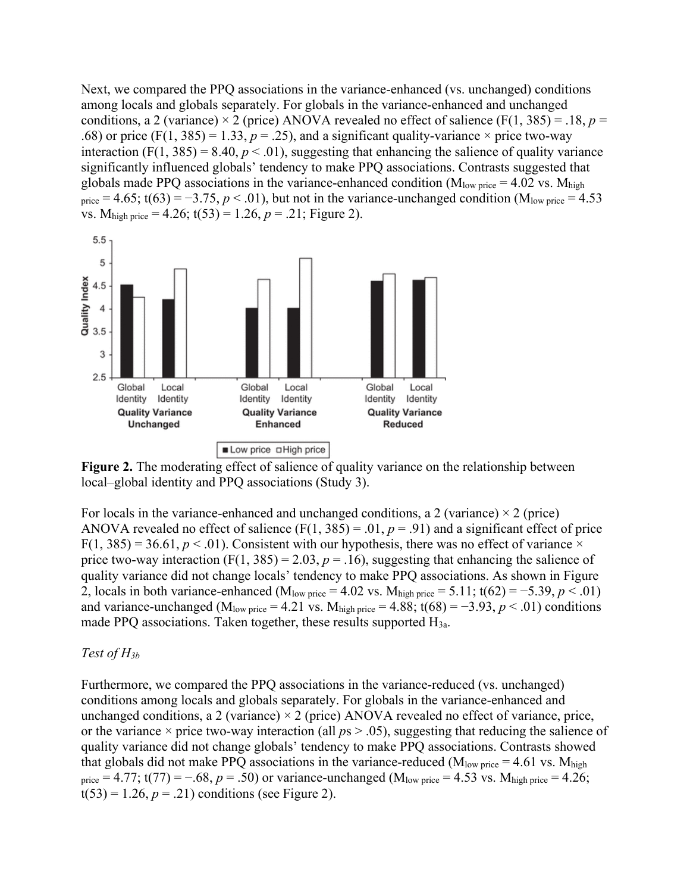Next, we compared the PPQ associations in the variance-enhanced (vs. unchanged) conditions among locals and globals separately. For globals in the variance-enhanced and unchanged conditions, a 2 (variance)  $\times$  2 (price) ANOVA revealed no effect of salience (F(1, 385) = .18, *p* = .68) or price (F(1, 385) = 1.33,  $p = 0.25$ ), and a significant quality-variance  $\times$  price two-way interaction  $(F(1, 385) = 8.40, p < .01)$ , suggesting that enhancing the salience of quality variance significantly influenced globals' tendency to make PPQ associations. Contrasts suggested that globals made PPQ associations in the variance-enhanced condition ( $M_{low\ price} = 4.02$  vs.  $M_{high}$  $_{\text{price}}$  = 4.65; t(63) = -3.75, *p* < .01), but not in the variance-unchanged condition (M<sub>low price</sub> = 4.53) vs.  $M_{\text{high price}} = 4.26$ ;  $t(53) = 1.26$ ,  $p = .21$ ; Figure 2).



**Figure 2.** The moderating effect of salience of quality variance on the relationship between local–global identity and PPQ associations (Study 3).

For locals in the variance-enhanced and unchanged conditions, a 2 (variance)  $\times$  2 (price) ANOVA revealed no effect of salience  $(F(1, 385) = .01, p = .91)$  and a significant effect of price  $F(1, 385) = 36.61, p < .01$ ). Consistent with our hypothesis, there was no effect of variance  $\times$ price two-way interaction  $(F(1, 385) = 2.03, p = .16)$ , suggesting that enhancing the salience of quality variance did not change locals' tendency to make PPQ associations. As shown in Figure 2, locals in both variance-enhanced ( $M_{low\ price} = 4.02$  vs.  $M_{high\ price} = 5.11$ ; t(62) = -5.39,  $p < .01$ ) and variance-unchanged ( $M_{low\ price} = 4.21$  vs.  $M_{high\ price} = 4.88$ ;  $t(68) = -3.93, p < .01$ ) conditions made PPQ associations. Taken together, these results supported H<sub>3a</sub>.

## *Test of H3b*

Furthermore, we compared the PPQ associations in the variance-reduced (vs. unchanged) conditions among locals and globals separately. For globals in the variance-enhanced and unchanged conditions, a 2 (variance)  $\times$  2 (price) ANOVA revealed no effect of variance, price, or the variance  $\times$  price two-way interaction (all  $ps > .05$ ), suggesting that reducing the salience of quality variance did not change globals' tendency to make PPQ associations. Contrasts showed that globals did not make PPQ associations in the variance-reduced ( $M_{low\ price} = 4.61$  vs.  $M_{high}$ ) price = 4.77; t(77) = -.68,  $p = .50$ ) or variance-unchanged (M<sub>low price</sub> = 4.53 vs. M<sub>high price</sub> = 4.26;  $t(53) = 1.26, p = .21$ ) conditions (see Figure 2).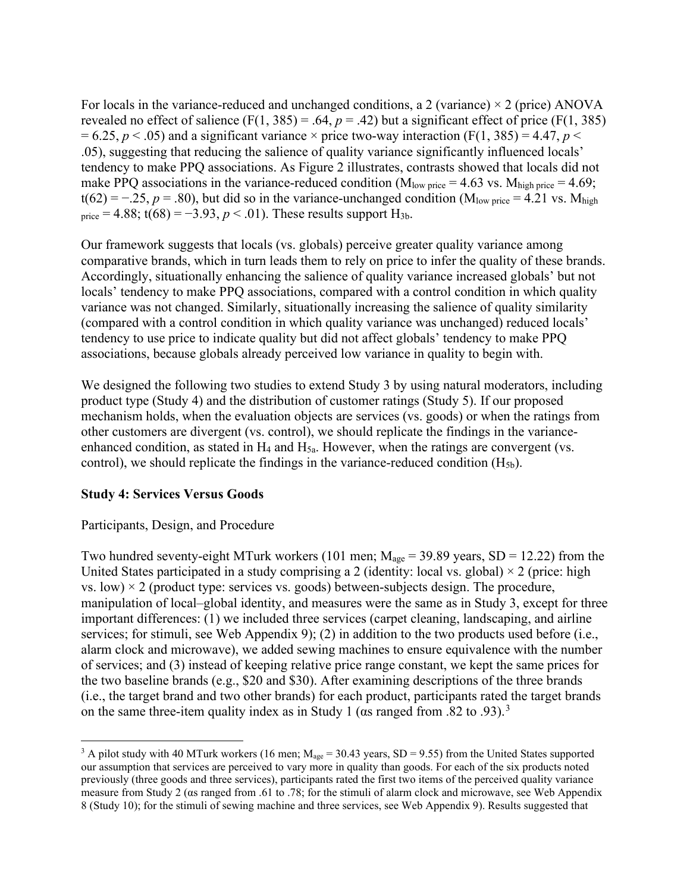For locals in the variance-reduced and unchanged conditions, a 2 (variance)  $\times$  2 (price) ANOVA revealed no effect of salience  $(F(1, 385) = .64, p = .42)$  but a significant effect of price  $(F(1, 385))$  $= 6.25, p < .05$ ) and a significant variance  $\times$  price two-way interaction (F(1, 385) = 4.47, *p* < .05), suggesting that reducing the salience of quality variance significantly influenced locals' tendency to make PPQ associations. As Figure 2 illustrates, contrasts showed that locals did not make PPQ associations in the variance-reduced condition ( $M_{low\ price} = 4.63$  vs.  $M_{high\ price} = 4.69$ ;  $t(62) = -0.25$ ,  $p = 0.80$ , but did so in the variance-unchanged condition (M<sub>low price</sub> = 4.21 vs. M<sub>high</sub>  $_{\text{price}}$  = 4.88; t(68) = -3.93, *p* < .01). These results support H<sub>3b</sub>.

Our framework suggests that locals (vs. globals) perceive greater quality variance among comparative brands, which in turn leads them to rely on price to infer the quality of these brands. Accordingly, situationally enhancing the salience of quality variance increased globals' but not locals' tendency to make PPQ associations, compared with a control condition in which quality variance was not changed. Similarly, situationally increasing the salience of quality similarity (compared with a control condition in which quality variance was unchanged) reduced locals' tendency to use price to indicate quality but did not affect globals' tendency to make PPQ associations, because globals already perceived low variance in quality to begin with.

We designed the following two studies to extend Study 3 by using natural moderators, including product type (Study 4) and the distribution of customer ratings (Study 5). If our proposed mechanism holds, when the evaluation objects are services (vs. goods) or when the ratings from other customers are divergent (vs. control), we should replicate the findings in the varianceenhanced condition, as stated in  $H_4$  and  $H_{5a}$ . However, when the ratings are convergent (vs. control), we should replicate the findings in the variance-reduced condition  $(H_{5b})$ .

## **Study 4: Services Versus Goods**

## Participants, Design, and Procedure

Two hundred seventy-eight MTurk workers (101 men;  $M_{\text{age}} = 39.89$  years, SD = 12.22) from the United States participated in a study comprising a 2 (identity: local vs. global)  $\times$  2 (price: high vs. low)  $\times$  2 (product type: services vs. goods) between-subjects design. The procedure, manipulation of local–global identity, and measures were the same as in Study 3, except for three important differences: (1) we included three services (carpet cleaning, landscaping, and airline services; for stimuli, see Web Appendix 9); (2) in addition to the two products used before (i.e., alarm clock and microwave), we added sewing machines to ensure equivalence with the number of services; and (3) instead of keeping relative price range constant, we kept the same prices for the two baseline brands (e.g., \$20 and \$30). After examining descriptions of the three brands (i.e., the target brand and two other brands) for each product, participants rated the target brands on the same three-item quality index as in Study 1 (αs ranged from .82 to .93).[3](#page-12-0)

<span id="page-12-0"></span><sup>&</sup>lt;sup>3</sup> A pilot study with 40 MTurk workers (16 men;  $M_{\text{age}} = 30.43$  years, SD = 9.55) from the United States supported our assumption that services are perceived to vary more in quality than goods. For each of the six products noted previously (three goods and three services), participants rated the first two items of the perceived quality variance measure from Study 2 (αs ranged from .61 to .78; for the stimuli of alarm clock and microwave, see Web Appendix 8 (Study 10); for the stimuli of sewing machine and three services, see Web Appendix 9). Results suggested that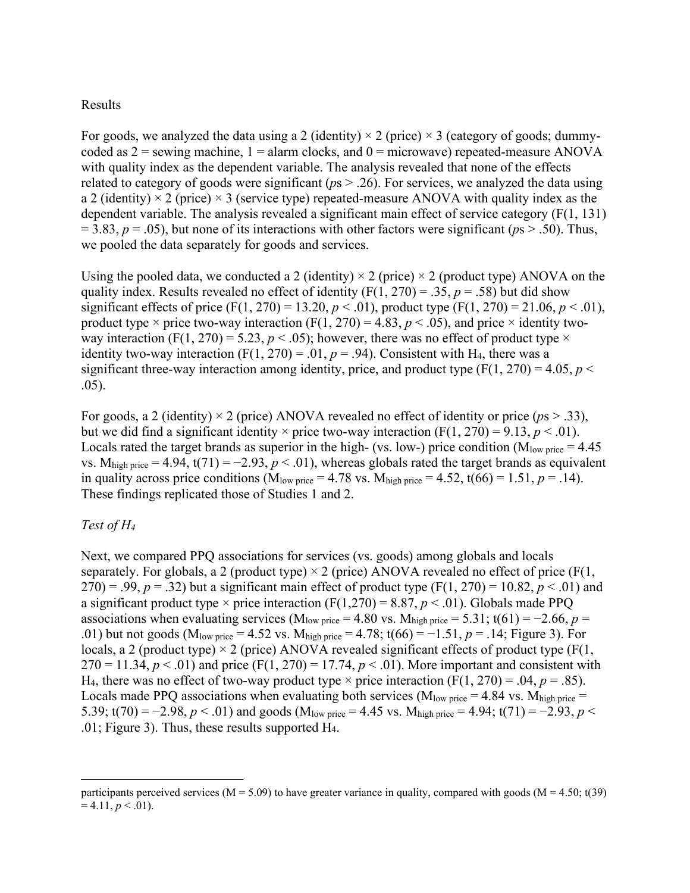### Results

For goods, we analyzed the data using a 2 (identity)  $\times$  2 (price)  $\times$  3 (category of goods; dummycoded as  $2$  = sewing machine, 1 = alarm clocks, and  $0$  = microwave) repeated-measure ANOVA with quality index as the dependent variable. The analysis revealed that none of the effects related to category of goods were significant (*p*s > .26). For services, we analyzed the data using a 2 (identity)  $\times$  2 (price)  $\times$  3 (service type) repeated-measure ANOVA with quality index as the dependent variable. The analysis revealed a significant main effect of service category (F(1, 131)  $= 3.83, p = .05$ , but none of its interactions with other factors were significant ( $p_s > .50$ ). Thus, we pooled the data separately for goods and services.

Using the pooled data, we conducted a 2 (identity)  $\times$  2 (price)  $\times$  2 (product type) ANOVA on the quality index. Results revealed no effect of identity  $(F(1, 270) = .35, p = .58)$  but did show significant effects of price  $(F(1, 270) = 13.20, p < .01)$ , product type  $(F(1, 270) = 21.06, p < .01)$ , product type  $\times$  price two-way interaction (F(1, 270) = 4.83,  $p < .05$ ), and price  $\times$  identity twoway interaction (F(1, 270) = 5.23,  $p < .05$ ); however, there was no effect of product type  $\times$ identity two-way interaction  $(F(1, 270) = .01, p = .94)$ . Consistent with H<sub>4</sub>, there was a significant three-way interaction among identity, price, and product type  $(F(1, 270) = 4.05, p <$ .05).

For goods, a 2 (identity)  $\times$  2 (price) ANOVA revealed no effect of identity or price ( $ps > .33$ ), but we did find a significant identity  $\times$  price two-way interaction (F(1, 270) = 9.13, *p* < .01). Locals rated the target brands as superior in the high- (vs. low-) price condition  $(M_{low\ price} = 4.45)$ vs. M<sub>high price</sub> = 4.94,  $t(71) = -2.93$ ,  $p < .01$ ), whereas globals rated the target brands as equivalent in quality across price conditions (M<sub>low price</sub> = 4.78 vs. M<sub>high price</sub> = 4.52, t(66) = 1.51,  $p = .14$ ). These findings replicated those of Studies 1 and 2.

## *Test of H4*

Next, we compared PPQ associations for services (vs. goods) among globals and locals separately. For globals, a 2 (product type)  $\times$  2 (price) ANOVA revealed no effect of price (F(1,  $270$ ) = .99,  $p = .32$ ) but a significant main effect of product type (F(1, 270) = 10.82,  $p < .01$ ) and a significant product type  $\times$  price interaction (F(1,270) = 8.87, *p* < .01). Globals made PPQ associations when evaluating services ( $M_{low\ price} = 4.80$  vs.  $M_{high\ price} = 5.31$ ; t(61) = -2.66, *p* = .01) but not goods (Mlow price = 4.52 vs. Mhigh price = 4.78; t(66) = −1.51, *p* = .14; Figure 3). For locals, a 2 (product type)  $\times$  2 (price) ANOVA revealed significant effects of product type (F(1,  $270 = 11.34, p < .01$  and price (F(1, 270) = 17.74,  $p < .01$ ). More important and consistent with H<sub>4</sub>, there was no effect of two-way product type  $\times$  price interaction (F(1, 270) = .04, *p* = .85). Locals made PPQ associations when evaluating both services ( $M_{low\ price} = 4.84$  vs.  $M_{high\ price} =$ 5.39; t(70) =  $-2.98$ ,  $p < .01$ ) and goods (M<sub>low price</sub> = 4.45 vs. M<sub>high price</sub> = 4.94; t(71) =  $-2.93$ ,  $p <$ .01; Figure 3). Thus, these results supported H4.

participants perceived services ( $M = 5.09$ ) to have greater variance in quality, compared with goods ( $M = 4.50$ ; t(39)  $= 4.11, p \le 0.01$ .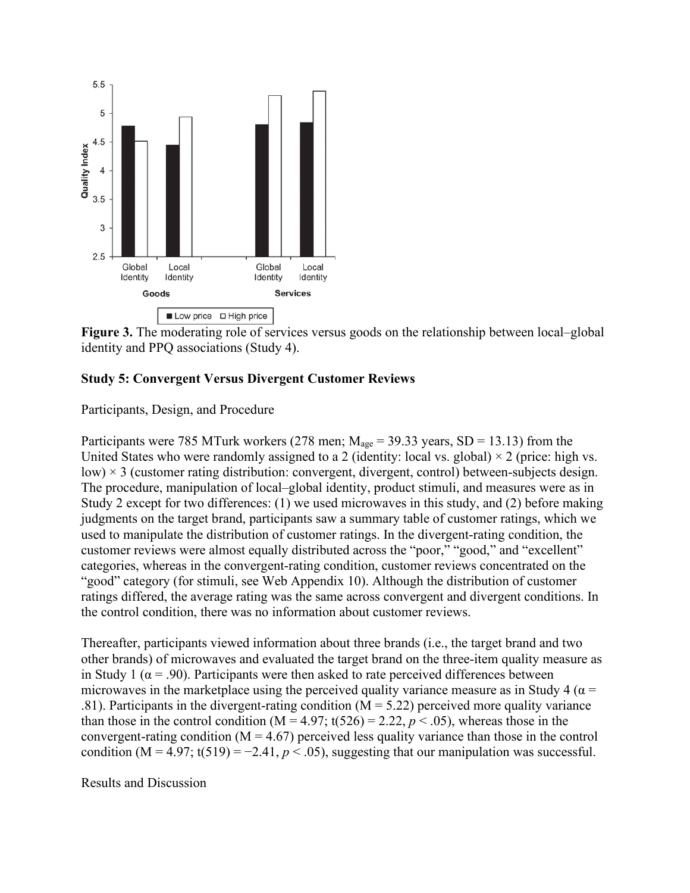

**Figure 3.** The moderating role of services versus goods on the relationship between local–global identity and PPQ associations (Study 4).

# **Study 5: Convergent Versus Divergent Customer Reviews**

Participants, Design, and Procedure

Participants were 785 MTurk workers (278 men;  $M_{\text{age}} = 39.33$  years, SD = 13.13) from the United States who were randomly assigned to a 2 (identity: local vs. global)  $\times$  2 (price: high vs. low)  $\times$  3 (customer rating distribution: convergent, divergent, control) between-subjects design. The procedure, manipulation of local–global identity, product stimuli, and measures were as in Study 2 except for two differences: (1) we used microwaves in this study, and (2) before making judgments on the target brand, participants saw a summary table of customer ratings, which we used to manipulate the distribution of customer ratings. In the divergent-rating condition, the customer reviews were almost equally distributed across the "poor," "good," and "excellent" categories, whereas in the convergent-rating condition, customer reviews concentrated on the "good" category (for stimuli, see Web Appendix 10). Although the distribution of customer ratings differed, the average rating was the same across convergent and divergent conditions. In the control condition, there was no information about customer reviews.

Thereafter, participants viewed information about three brands (i.e., the target brand and two other brands) of microwaves and evaluated the target brand on the three-item quality measure as in Study 1 ( $\alpha$  = .90). Participants were then asked to rate perceived differences between microwaves in the marketplace using the perceived quality variance measure as in Study 4 ( $\alpha$  = .81). Participants in the divergent-rating condition ( $M = 5.22$ ) perceived more quality variance than those in the control condition ( $M = 4.97$ ; t(526) = 2.22,  $p < .05$ ), whereas those in the convergent-rating condition ( $M = 4.67$ ) perceived less quality variance than those in the control condition (M = 4.97; t(519) =  $-2.41$ ,  $p < .05$ ), suggesting that our manipulation was successful.

Results and Discussion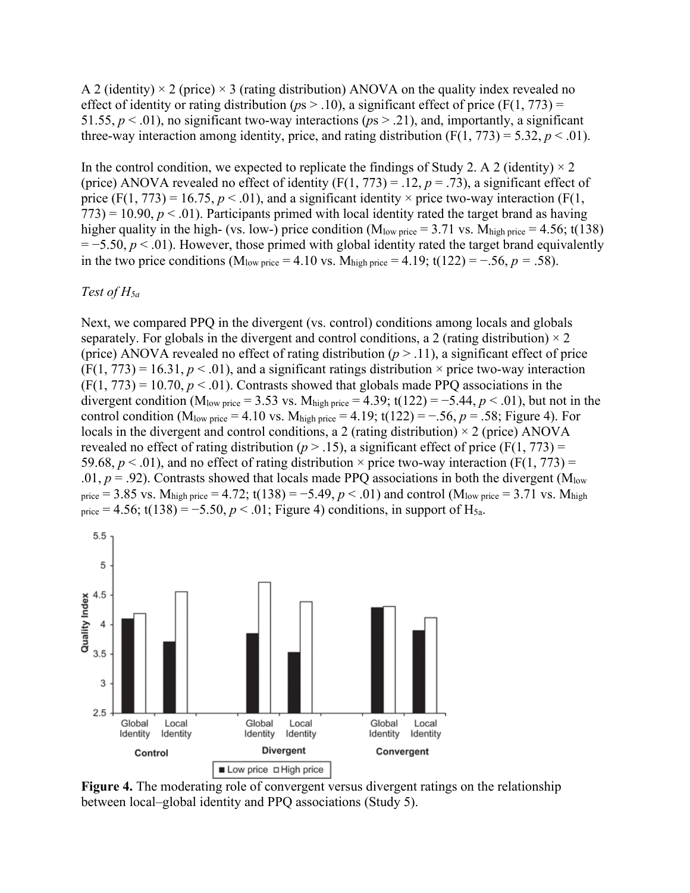A 2 (identity)  $\times$  2 (price)  $\times$  3 (rating distribution) ANOVA on the quality index revealed no effect of identity or rating distribution ( $p s > 0.10$ ), a significant effect of price (F(1, 773) = 51.55,  $p < .01$ ), no significant two-way interactions ( $p_s > .21$ ), and, importantly, a significant three-way interaction among identity, price, and rating distribution  $(F(1, 773) = 5.32, p < .01)$ .

In the control condition, we expected to replicate the findings of Study 2. A 2 (identity)  $\times$  2 (price) ANOVA revealed no effect of identity  $(F(1, 773) = .12, p = .73)$ , a significant effect of price (F(1, 773) = 16.75,  $p < .01$ ), and a significant identity  $\times$  price two-way interaction (F(1,  $773$ ) = 10.90,  $p < 0.01$ ). Participants primed with local identity rated the target brand as having higher quality in the high- (vs. low-) price condition  $(M_{low\ price} = 3.71 \text{ vs. } M_{high\ price} = 4.56; t(138)$ = −5.50, *p* < .01). However, those primed with global identity rated the target brand equivalently in the two price conditions ( $M_{low\ price} = 4.10$  vs.  $M_{high\ price} = 4.19$ ; t(122) = -.56,  $p = .58$ ).

#### *Test of H5a*

Next, we compared PPQ in the divergent (vs. control) conditions among locals and globals separately. For globals in the divergent and control conditions, a 2 (rating distribution)  $\times$  2 (price) ANOVA revealed no effect of rating distribution  $(p > .11)$ , a significant effect of price  $(F(1, 773) = 16.31, p < .01)$ , and a significant ratings distribution  $\times$  price two-way interaction  $(F(1, 773) = 10.70, p < .01)$ . Contrasts showed that globals made PPQ associations in the divergent condition (M<sub>low price</sub> = 3.53 vs. M<sub>high price</sub> = 4.39; t(122) = -5.44,  $p < .01$ ), but not in the control condition (M<sub>low price</sub> = 4.10 vs. M<sub>high price</sub> = 4.19; t(122) = -.56,  $p = .58$ ; Figure 4). For locals in the divergent and control conditions, a 2 (rating distribution)  $\times$  2 (price) ANOVA revealed no effect of rating distribution ( $p > 0.15$ ), a significant effect of price (F(1, 773) = 59.68,  $p < .01$ ), and no effect of rating distribution  $\times$  price two-way interaction (F(1, 773) = .01,  $p = .92$ ). Contrasts showed that locals made PPQ associations in both the divergent ( $M_{\text{low}}$ ) price = 3.85 vs. Mhigh price = 4.72; t(138) = −5.49, *p* < .01) and control (Mlow price = 3.71 vs. Mhigh  $_{\text{price}}$  = 4.56; t(138) = -5.50,  $p < .01$ ; Figure 4) conditions, in support of H<sub>5a</sub>.



**Figure 4.** The moderating role of convergent versus divergent ratings on the relationship between local–global identity and PPQ associations (Study 5).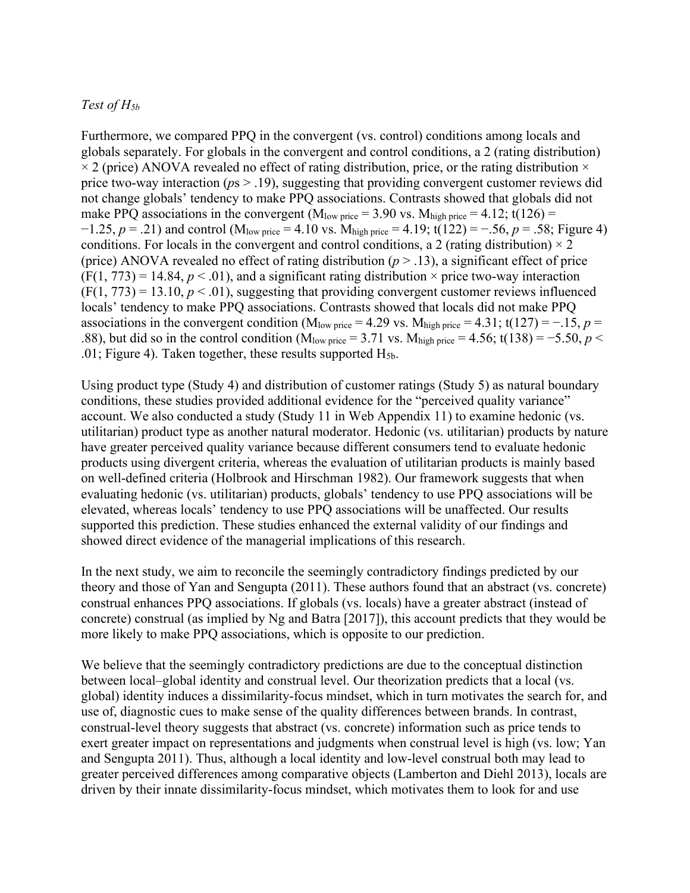## *Test of H5b*

Furthermore, we compared PPQ in the convergent (vs. control) conditions among locals and globals separately. For globals in the convergent and control conditions, a 2 (rating distribution)  $\times$  2 (price) ANOVA revealed no effect of rating distribution, price, or the rating distribution  $\times$ price two-way interaction (*p*s > .19), suggesting that providing convergent customer reviews did not change globals' tendency to make PPQ associations. Contrasts showed that globals did not make PPQ associations in the convergent ( $M_{low\ price} = 3.90$  vs.  $M_{high\ price} = 4.12$ ; t(126) =  $-1.25$ ,  $p = .21$ ) and control (M<sub>low price</sub> = 4.10 vs. M<sub>high price</sub> = 4.19; t(122) = -.56,  $p = .58$ ; Figure 4) conditions. For locals in the convergent and control conditions, a 2 (rating distribution)  $\times$  2 (price) ANOVA revealed no effect of rating distribution  $(p > .13)$ , a significant effect of price  $(F(1, 773) = 14.84, p < .01)$ , and a significant rating distribution  $\times$  price two-way interaction  $(F(1, 773) = 13.10, p < .01)$ , suggesting that providing convergent customer reviews influenced locals' tendency to make PPQ associations. Contrasts showed that locals did not make PPQ associations in the convergent condition (M<sub>low price</sub> = 4.29 vs. M<sub>high price</sub> = 4.31; t(127) = −.15, *p* = .88), but did so in the control condition (M<sub>low price</sub> = 3.71 vs. M<sub>high price</sub> = 4.56; t(138) = −5.50, *p* < .01; Figure 4). Taken together, these results supported  $H_{5b}$ .

Using product type (Study 4) and distribution of customer ratings (Study 5) as natural boundary conditions, these studies provided additional evidence for the "perceived quality variance" account. We also conducted a study (Study 11 in Web Appendix 11) to examine hedonic (vs. utilitarian) product type as another natural moderator. Hedonic (vs. utilitarian) products by nature have greater perceived quality variance because different consumers tend to evaluate hedonic products using divergent criteria, whereas the evaluation of utilitarian products is mainly based on well-defined criteria (Holbrook and Hirschman 1982). Our framework suggests that when evaluating hedonic (vs. utilitarian) products, globals' tendency to use PPQ associations will be elevated, whereas locals' tendency to use PPQ associations will be unaffected. Our results supported this prediction. These studies enhanced the external validity of our findings and showed direct evidence of the managerial implications of this research.

In the next study, we aim to reconcile the seemingly contradictory findings predicted by our theory and those of Yan and Sengupta (2011). These authors found that an abstract (vs. concrete) construal enhances PPQ associations. If globals (vs. locals) have a greater abstract (instead of concrete) construal (as implied by Ng and Batra [2017]), this account predicts that they would be more likely to make PPQ associations, which is opposite to our prediction.

We believe that the seemingly contradictory predictions are due to the conceptual distinction between local–global identity and construal level. Our theorization predicts that a local (vs. global) identity induces a dissimilarity-focus mindset, which in turn motivates the search for, and use of, diagnostic cues to make sense of the quality differences between brands. In contrast, construal-level theory suggests that abstract (vs. concrete) information such as price tends to exert greater impact on representations and judgments when construal level is high (vs. low; Yan and Sengupta 2011). Thus, although a local identity and low-level construal both may lead to greater perceived differences among comparative objects (Lamberton and Diehl 2013), locals are driven by their innate dissimilarity-focus mindset, which motivates them to look for and use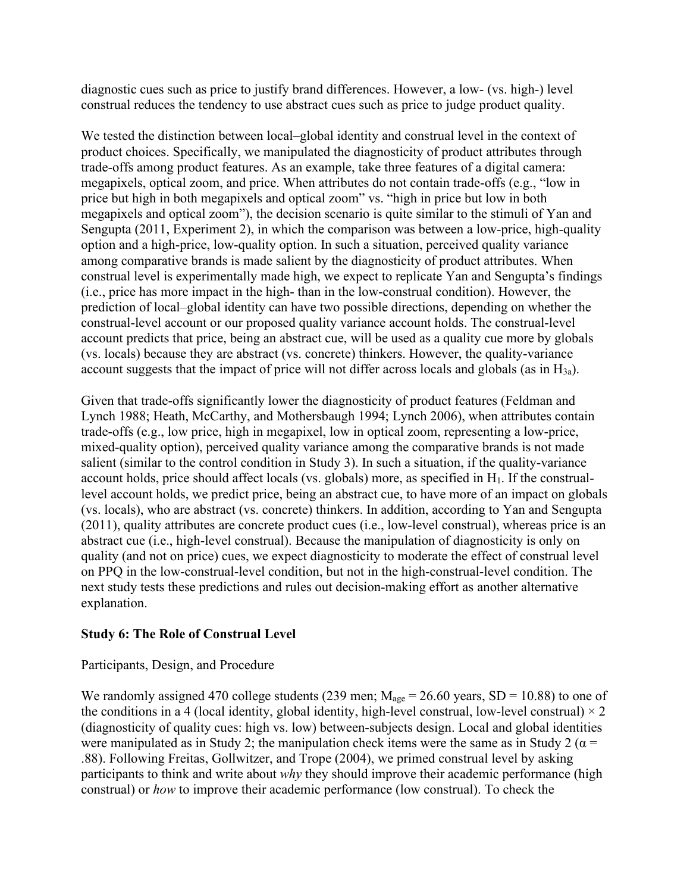diagnostic cues such as price to justify brand differences. However, a low- (vs. high-) level construal reduces the tendency to use abstract cues such as price to judge product quality.

We tested the distinction between local–global identity and construal level in the context of product choices. Specifically, we manipulated the diagnosticity of product attributes through trade-offs among product features. As an example, take three features of a digital camera: megapixels, optical zoom, and price. When attributes do not contain trade-offs (e.g., "low in price but high in both megapixels and optical zoom" vs. "high in price but low in both megapixels and optical zoom"), the decision scenario is quite similar to the stimuli of Yan and Sengupta (2011, Experiment 2), in which the comparison was between a low-price, high-quality option and a high-price, low-quality option. In such a situation, perceived quality variance among comparative brands is made salient by the diagnosticity of product attributes. When construal level is experimentally made high, we expect to replicate Yan and Sengupta's findings (i.e., price has more impact in the high- than in the low-construal condition). However, the prediction of local–global identity can have two possible directions, depending on whether the construal-level account or our proposed quality variance account holds. The construal-level account predicts that price, being an abstract cue, will be used as a quality cue more by globals (vs. locals) because they are abstract (vs. concrete) thinkers. However, the quality-variance account suggests that the impact of price will not differ across locals and globals (as in  $H_{3a}$ ).

Given that trade-offs significantly lower the diagnosticity of product features (Feldman and Lynch 1988; Heath, McCarthy, and Mothersbaugh 1994; Lynch 2006), when attributes contain trade-offs (e.g., low price, high in megapixel, low in optical zoom, representing a low-price, mixed-quality option), perceived quality variance among the comparative brands is not made salient (similar to the control condition in Study 3). In such a situation, if the quality-variance account holds, price should affect locals (vs. globals) more, as specified in H1. If the construallevel account holds, we predict price, being an abstract cue, to have more of an impact on globals (vs. locals), who are abstract (vs. concrete) thinkers. In addition, according to Yan and Sengupta (2011), quality attributes are concrete product cues (i.e., low-level construal), whereas price is an abstract cue (i.e., high-level construal). Because the manipulation of diagnosticity is only on quality (and not on price) cues, we expect diagnosticity to moderate the effect of construal level on PPQ in the low-construal-level condition, but not in the high-construal-level condition. The next study tests these predictions and rules out decision-making effort as another alternative explanation.

## **Study 6: The Role of Construal Level**

# Participants, Design, and Procedure

We randomly assigned 470 college students (239 men;  $M_{\text{age}} = 26.60$  years, SD = 10.88) to one of the conditions in a 4 (local identity, global identity, high-level construal, low-level construal)  $\times$  2 (diagnosticity of quality cues: high vs. low) between-subjects design. Local and global identities were manipulated as in Study 2; the manipulation check items were the same as in Study 2 ( $\alpha$  = .88). Following Freitas, Gollwitzer, and Trope (2004), we primed construal level by asking participants to think and write about *why* they should improve their academic performance (high construal) or *how* to improve their academic performance (low construal). To check the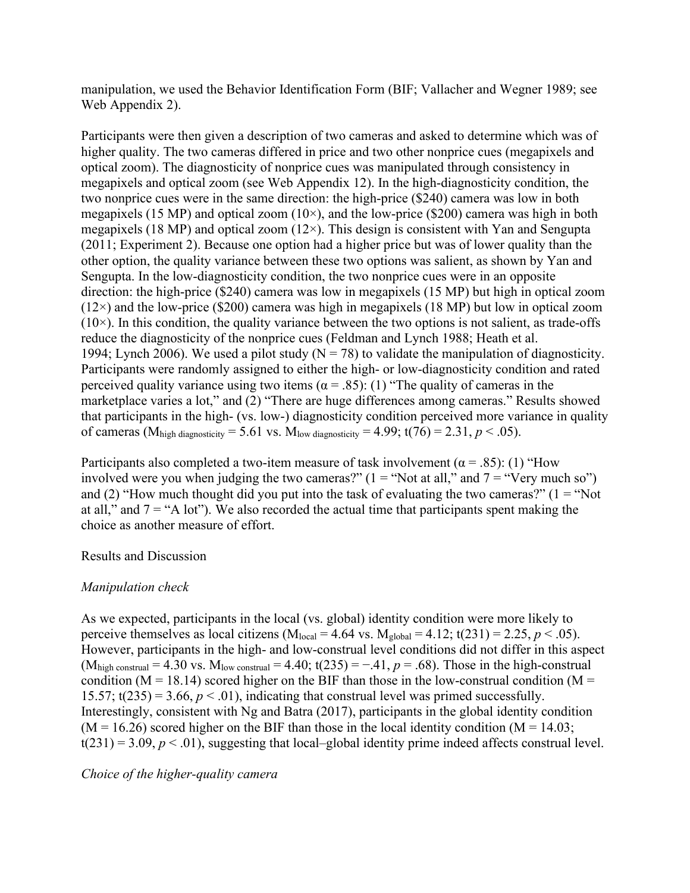manipulation, we used the Behavior Identification Form (BIF; Vallacher and Wegner 1989; see Web Appendix 2).

Participants were then given a description of two cameras and asked to determine which was of higher quality. The two cameras differed in price and two other nonprice cues (megapixels and optical zoom). The diagnosticity of nonprice cues was manipulated through consistency in megapixels and optical zoom (see Web Appendix 12). In the high-diagnosticity condition, the two nonprice cues were in the same direction: the high-price (\$240) camera was low in both megapixels (15 MP) and optical zoom (10 $\times$ ), and the low-price (\$200) camera was high in both megapixels (18 MP) and optical zoom (12 $\times$ ). This design is consistent with Yan and Sengupta (2011; Experiment 2). Because one option had a higher price but was of lower quality than the other option, the quality variance between these two options was salient, as shown by Yan and Sengupta. In the low-diagnosticity condition, the two nonprice cues were in an opposite direction: the high-price (\$240) camera was low in megapixels (15 MP) but high in optical zoom  $(12\times)$  and the low-price (\$200) camera was high in megapixels (18 MP) but low in optical zoom  $(10\times)$ . In this condition, the quality variance between the two options is not salient, as trade-offs reduce the diagnosticity of the nonprice cues (Feldman and Lynch 1988; Heath et al. 1994; Lynch 2006). We used a pilot study ( $N = 78$ ) to validate the manipulation of diagnosticity. Participants were randomly assigned to either the high- or low-diagnosticity condition and rated perceived quality variance using two items ( $\alpha$  = .85): (1) "The quality of cameras in the marketplace varies a lot," and (2) "There are huge differences among cameras." Results showed that participants in the high- (vs. low-) diagnosticity condition perceived more variance in quality of cameras (M<sub>high diagnosticity</sub> = 5.61 vs. M<sub>low diagnosticity</sub> = 4.99;  $t(76) = 2.31, p < .05$ ).

Participants also completed a two-item measure of task involvement ( $\alpha$  = .85): (1) "How involved were you when judging the two cameras?"  $(1 = "Not at all," and 7 = "Very much so")$ and (2) "How much thought did you put into the task of evaluating the two cameras?" ( $1 =$ "Not at all," and  $7 = "A lot"$ ). We also recorded the actual time that participants spent making the choice as another measure of effort.

## Results and Discussion

# *Manipulation check*

As we expected, participants in the local (vs. global) identity condition were more likely to perceive themselves as local citizens ( $M<sub>local</sub> = 4.64$  vs.  $M<sub>global</sub> = 4.12$ ;  $t(231) = 2.25, p < .05$ ). However, participants in the high- and low-construal level conditions did not differ in this aspect  $(M<sub>high</sub>$ <sub>construal</sub> = 4.30 vs.  $M<sub>low</sub>$ <sub>construal</sub> = 4.40; t(235) = -.41, *p* = .68). Those in the high-construal condition ( $M = 18.14$ ) scored higher on the BIF than those in the low-construal condition ( $M =$ 15.57;  $t(235) = 3.66$ ,  $p < .01$ ), indicating that construal level was primed successfully. Interestingly, consistent with Ng and Batra (2017), participants in the global identity condition  $(M = 16.26)$  scored higher on the BIF than those in the local identity condition  $(M = 14.03;$  $t(231) = 3.09, p < .01$ , suggesting that local–global identity prime indeed affects construal level.

## *Choice of the higher-quality camera*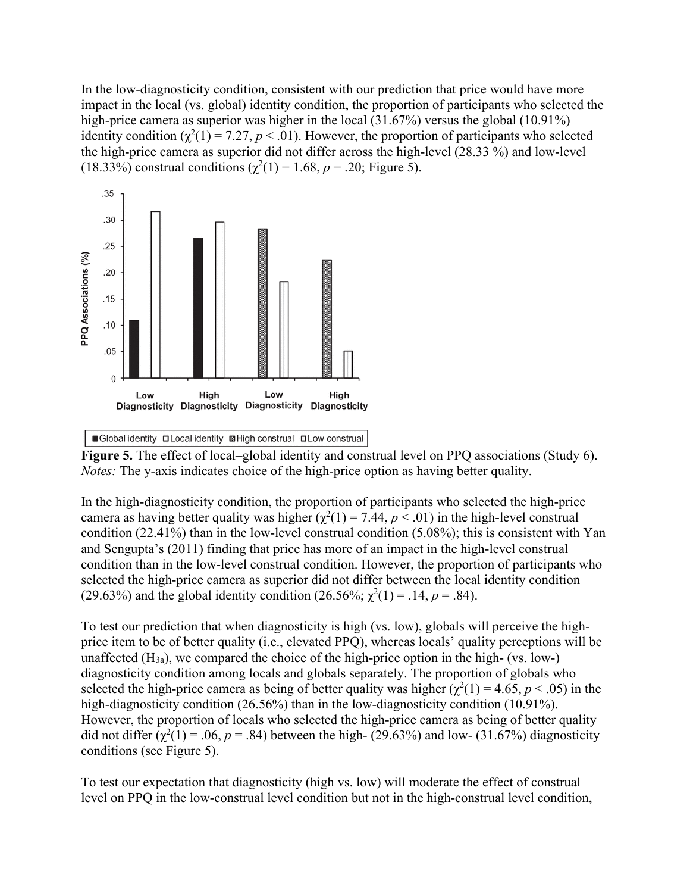In the low-diagnosticity condition, consistent with our prediction that price would have more impact in the local (vs. global) identity condition, the proportion of participants who selected the high-price camera as superior was higher in the local (31.67%) versus the global (10.91%) identity condition  $(\chi^2(1) = 7.27, p < .01)$ . However, the proportion of participants who selected the high-price camera as superior did not differ across the high-level (28.33 %) and low-level (18.33%) construal conditions ( $\chi^2(1) = 1.68$ ,  $p = .20$ ; Figure 5).





**Figure 5.** The effect of local–global identity and construal level on PPQ associations (Study 6). *Notes:* The y-axis indicates choice of the high-price option as having better quality.

In the high-diagnosticity condition, the proportion of participants who selected the high-price camera as having better quality was higher  $(\chi^2(1) = 7.44, p < .01)$  in the high-level construal condition (22.41%) than in the low-level construal condition (5.08%); this is consistent with Yan and Sengupta's (2011) finding that price has more of an impact in the high-level construal condition than in the low-level construal condition. However, the proportion of participants who selected the high-price camera as superior did not differ between the local identity condition (29.63%) and the global identity condition (26.56%;  $\chi^2(1) = .14$ ,  $p = .84$ ).

To test our prediction that when diagnosticity is high (vs. low), globals will perceive the highprice item to be of better quality (i.e., elevated PPQ), whereas locals' quality perceptions will be unaffected  $(H_{3a})$ , we compared the choice of the high-price option in the high- (vs. low-) diagnosticity condition among locals and globals separately. The proportion of globals who selected the high-price camera as being of better quality was higher  $(\chi^2(1) = 4.65, p < .05)$  in the high-diagnosticity condition (26.56%) than in the low-diagnosticity condition (10.91%). However, the proportion of locals who selected the high-price camera as being of better quality did not differ  $(\chi^2(1) = .06, p = .84)$  between the high- (29.63%) and low- (31.67%) diagnosticity conditions (see Figure 5).

To test our expectation that diagnosticity (high vs. low) will moderate the effect of construal level on PPQ in the low-construal level condition but not in the high-construal level condition,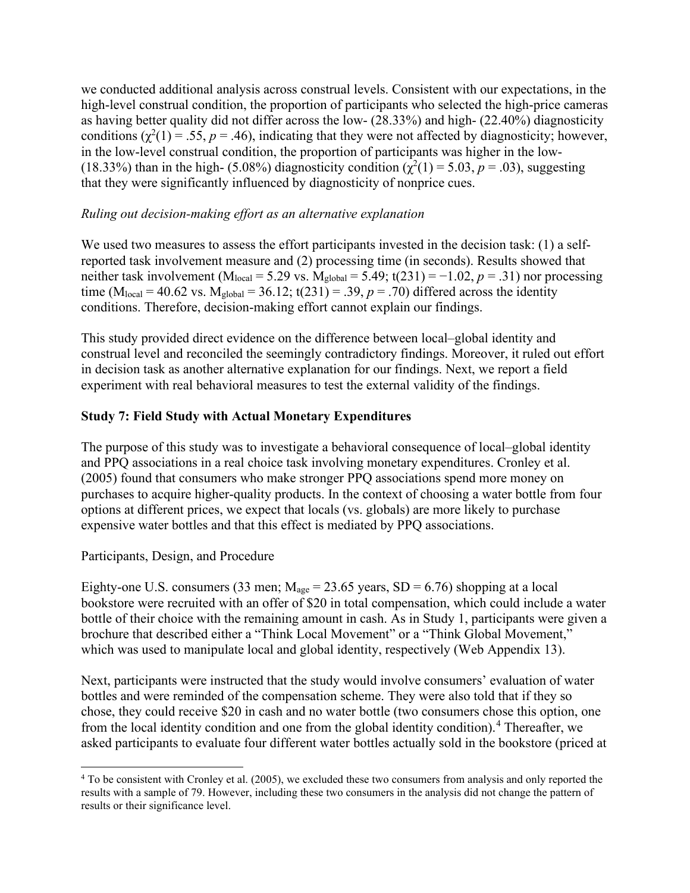we conducted additional analysis across construal levels. Consistent with our expectations, in the high-level construal condition, the proportion of participants who selected the high-price cameras as having better quality did not differ across the low- (28.33%) and high- (22.40%) diagnosticity conditions  $(\chi^2(1) = .55, p = .46)$ , indicating that they were not affected by diagnosticity; however, in the low-level construal condition, the proportion of participants was higher in the low- (18.33%) than in the high- (5.08%) diagnosticity condition ( $\chi^2(1) = 5.03$ ,  $p = .03$ ), suggesting that they were significantly influenced by diagnosticity of nonprice cues.

## *Ruling out decision-making effort as an alternative explanation*

We used two measures to assess the effort participants invested in the decision task: (1) a selfreported task involvement measure and (2) processing time (in seconds). Results showed that neither task involvement ( $M_{local} = 5.29$  vs.  $M_{global} = 5.49$ ; t(231) = -1.02,  $p = .31$ ) nor processing time (M<sub>local</sub> = 40.62 vs. M<sub>global</sub> = 36.12; t(231) = .39,  $p = .70$ ) differed across the identity conditions. Therefore, decision-making effort cannot explain our findings.

This study provided direct evidence on the difference between local–global identity and construal level and reconciled the seemingly contradictory findings. Moreover, it ruled out effort in decision task as another alternative explanation for our findings. Next, we report a field experiment with real behavioral measures to test the external validity of the findings.

# **Study 7: Field Study with Actual Monetary Expenditures**

The purpose of this study was to investigate a behavioral consequence of local–global identity and PPQ associations in a real choice task involving monetary expenditures. Cronley et al. (2005) found that consumers who make stronger PPQ associations spend more money on purchases to acquire higher-quality products. In the context of choosing a water bottle from four options at different prices, we expect that locals (vs. globals) are more likely to purchase expensive water bottles and that this effect is mediated by PPQ associations.

Participants, Design, and Procedure

Eighty-one U.S. consumers (33 men;  $M_{\text{age}} = 23.65$  years, SD = 6.76) shopping at a local bookstore were recruited with an offer of \$20 in total compensation, which could include a water bottle of their choice with the remaining amount in cash. As in Study 1, participants were given a brochure that described either a "Think Local Movement" or a "Think Global Movement," which was used to manipulate local and global identity, respectively (Web Appendix 13).

Next, participants were instructed that the study would involve consumers' evaluation of water bottles and were reminded of the compensation scheme. They were also told that if they so chose, they could receive \$20 in cash and no water bottle (two consumers chose this option, one from the local identity condition and one from the global identity condition).[4](#page-20-0) Thereafter, we asked participants to evaluate four different water bottles actually sold in the bookstore (priced at

<span id="page-20-0"></span><sup>4</sup> To be consistent with Cronley et al. (2005), we excluded these two consumers from analysis and only reported the results with a sample of 79. However, including these two consumers in the analysis did not change the pattern of results or their significance level.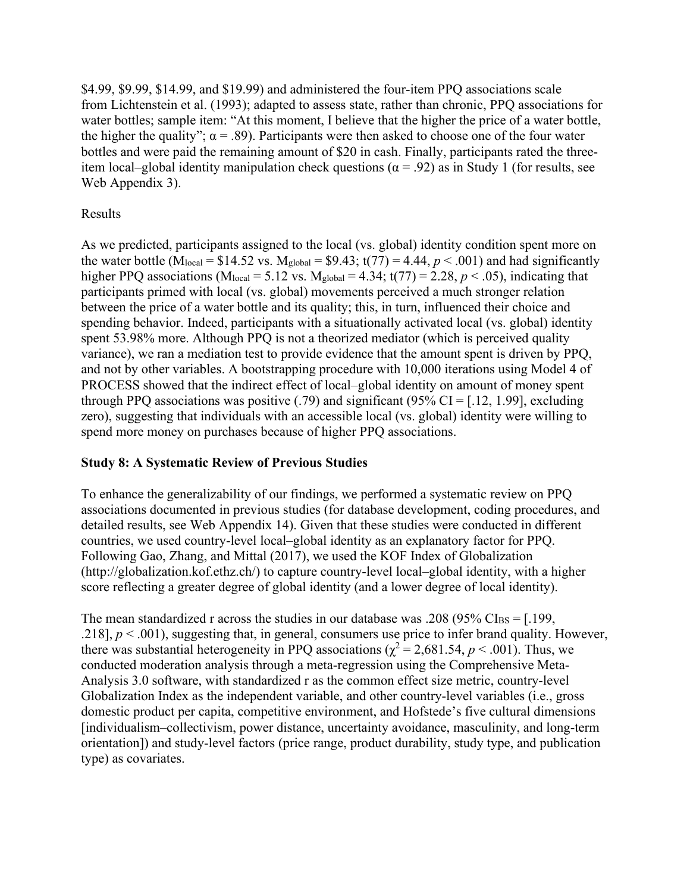\$4.99, \$9.99, \$14.99, and \$19.99) and administered the four-item PPQ associations scale from Lichtenstein et al. (1993); adapted to assess state, rather than chronic, PPQ associations for water bottles; sample item: "At this moment, I believe that the higher the price of a water bottle, the higher the quality";  $\alpha$  = .89). Participants were then asked to choose one of the four water bottles and were paid the remaining amount of \$20 in cash. Finally, participants rated the threeitem local–global identity manipulation check questions ( $\alpha$  = .92) as in Study 1 (for results, see Web Appendix 3).

## Results

As we predicted, participants assigned to the local (vs. global) identity condition spent more on the water bottle (M<sub>local</sub> = \$14.52 vs. M<sub>global</sub> = \$9.43;  $t(77)$  = 4.44,  $p < .001$ ) and had significantly higher PPQ associations ( $M_{local} = 5.12$  vs.  $M_{global} = 4.34$ ;  $t(77) = 2.28$ ,  $p < .05$ ), indicating that participants primed with local (vs. global) movements perceived a much stronger relation between the price of a water bottle and its quality; this, in turn, influenced their choice and spending behavior. Indeed, participants with a situationally activated local (vs. global) identity spent 53.98% more. Although PPQ is not a theorized mediator (which is perceived quality variance), we ran a mediation test to provide evidence that the amount spent is driven by PPQ, and not by other variables. A bootstrapping procedure with 10,000 iterations using Model 4 of PROCESS showed that the indirect effect of local–global identity on amount of money spent through PPQ associations was positive (.79) and significant (95% CI = [.12, 1.99], excluding zero), suggesting that individuals with an accessible local (vs. global) identity were willing to spend more money on purchases because of higher PPQ associations.

# **Study 8: A Systematic Review of Previous Studies**

To enhance the generalizability of our findings, we performed a systematic review on PPQ associations documented in previous studies (for database development, coding procedures, and detailed results, see Web Appendix 14). Given that these studies were conducted in different countries, we used country-level local–global identity as an explanatory factor for PPQ. Following Gao, Zhang, and Mittal (2017), we used the KOF Index of Globalization (http://globalization.kof.ethz.ch/) to capture country-level local–global identity, with a higher score reflecting a greater degree of global identity (and a lower degree of local identity).

The mean standardized r across the studies in our database was .208 (95%  $CI_{BS} = [.199,$ .218],  $p < .001$ ), suggesting that, in general, consumers use price to infer brand quality. However, there was substantial heterogeneity in PPQ associations ( $\chi^2 = 2{,}681.54, p < .001$ ). Thus, we conducted moderation analysis through a meta-regression using the Comprehensive Meta-Analysis 3.0 software, with standardized r as the common effect size metric, country-level Globalization Index as the independent variable, and other country-level variables (i.e., gross domestic product per capita, competitive environment, and Hofstede's five cultural dimensions [individualism–collectivism, power distance, uncertainty avoidance, masculinity, and long-term orientation]) and study-level factors (price range, product durability, study type, and publication type) as covariates.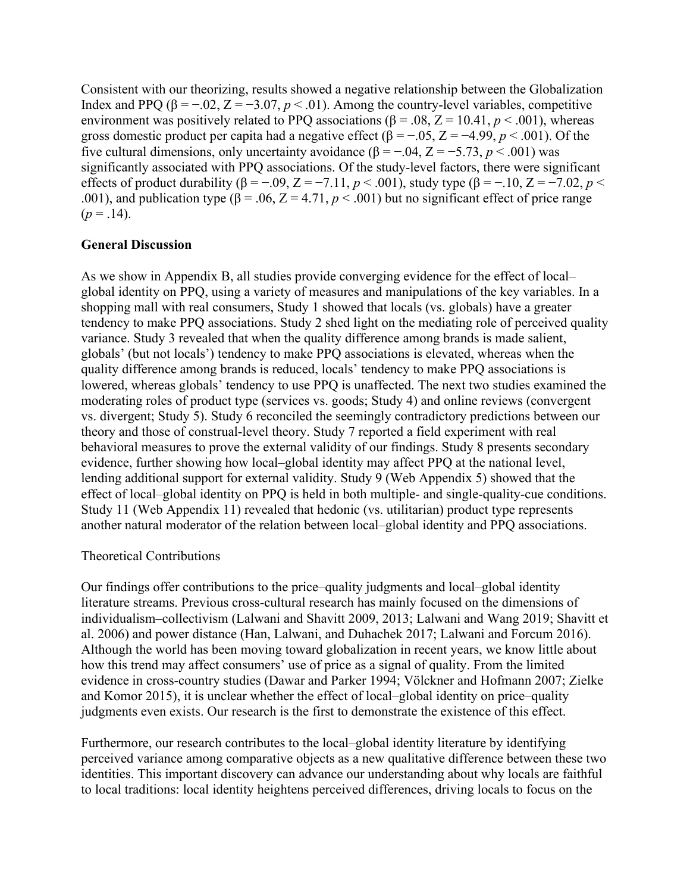Consistent with our theorizing, results showed a negative relationship between the Globalization Index and PPQ ( $\beta = -0.02$ ,  $Z = -3.07$ ,  $p < 0.01$ ). Among the country-level variables, competitive environment was positively related to PPQ associations ( $\beta = .08$ ,  $Z = 10.41$ ,  $p < .001$ ), whereas gross domestic product per capita had a negative effect ( $\beta = -.05$ ,  $Z = -4.99$ ,  $p < .001$ ). Of the five cultural dimensions, only uncertainty avoidance  $(\beta = -0.04, Z = -5.73, p < 0.001)$  was significantly associated with PPQ associations. Of the study-level factors, there were significant effects of product durability (β = −.09, Z = −7.11, *p* < .001), study type (β = −.10, Z = −7.02, *p* < .001), and publication type ( $\beta$  = .06, Z = 4.71,  $p$  < .001) but no significant effect of price range  $(p=.14)$ .

## **General Discussion**

As we show in Appendix B, all studies provide converging evidence for the effect of local– global identity on PPQ, using a variety of measures and manipulations of the key variables. In a shopping mall with real consumers, Study 1 showed that locals (vs. globals) have a greater tendency to make PPQ associations. Study 2 shed light on the mediating role of perceived quality variance. Study 3 revealed that when the quality difference among brands is made salient, globals' (but not locals') tendency to make PPQ associations is elevated, whereas when the quality difference among brands is reduced, locals' tendency to make PPQ associations is lowered, whereas globals' tendency to use PPQ is unaffected. The next two studies examined the moderating roles of product type (services vs. goods; Study 4) and online reviews (convergent vs. divergent; Study 5). Study 6 reconciled the seemingly contradictory predictions between our theory and those of construal-level theory. Study 7 reported a field experiment with real behavioral measures to prove the external validity of our findings. Study 8 presents secondary evidence, further showing how local–global identity may affect PPQ at the national level, lending additional support for external validity. Study 9 (Web Appendix 5) showed that the effect of local–global identity on PPQ is held in both multiple- and single-quality-cue conditions. Study 11 (Web Appendix 11) revealed that hedonic (vs. utilitarian) product type represents another natural moderator of the relation between local–global identity and PPQ associations.

## Theoretical Contributions

Our findings offer contributions to the price–quality judgments and local–global identity literature streams. Previous cross-cultural research has mainly focused on the dimensions of individualism–collectivism (Lalwani and Shavitt 2009, 2013; Lalwani and Wang 2019; Shavitt et al. 2006) and power distance (Han, Lalwani, and Duhachek 2017; Lalwani and Forcum 2016). Although the world has been moving toward globalization in recent years, we know little about how this trend may affect consumers' use of price as a signal of quality. From the limited evidence in cross-country studies (Dawar and Parker 1994; Völckner and Hofmann 2007; Zielke and Komor 2015), it is unclear whether the effect of local–global identity on price–quality judgments even exists. Our research is the first to demonstrate the existence of this effect.

Furthermore, our research contributes to the local–global identity literature by identifying perceived variance among comparative objects as a new qualitative difference between these two identities. This important discovery can advance our understanding about why locals are faithful to local traditions: local identity heightens perceived differences, driving locals to focus on the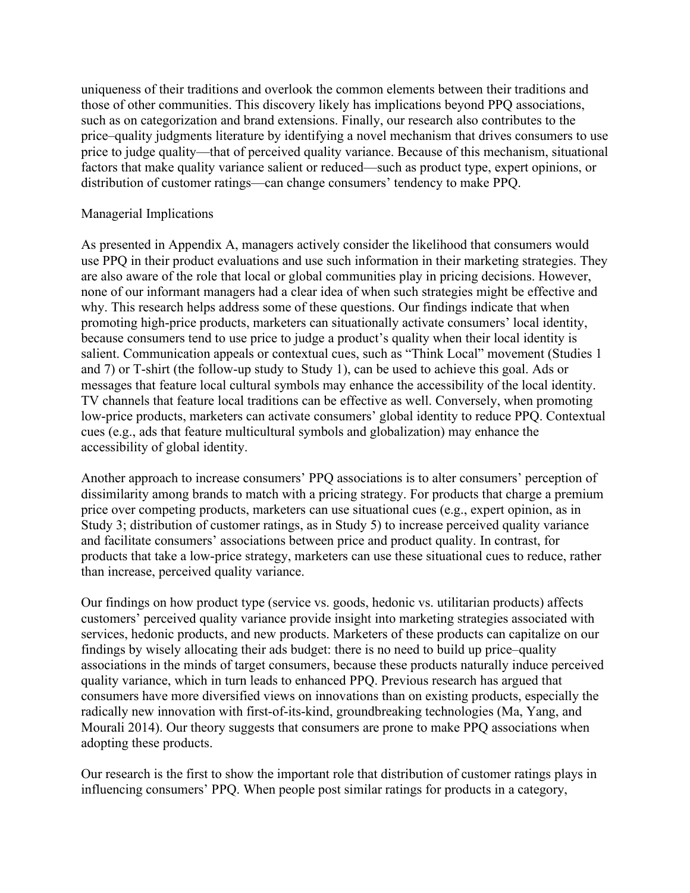uniqueness of their traditions and overlook the common elements between their traditions and those of other communities. This discovery likely has implications beyond PPQ associations, such as on categorization and brand extensions. Finally, our research also contributes to the price–quality judgments literature by identifying a novel mechanism that drives consumers to use price to judge quality—that of perceived quality variance. Because of this mechanism, situational factors that make quality variance salient or reduced—such as product type, expert opinions, or distribution of customer ratings—can change consumers' tendency to make PPQ.

## Managerial Implications

As presented in Appendix A, managers actively consider the likelihood that consumers would use PPQ in their product evaluations and use such information in their marketing strategies. They are also aware of the role that local or global communities play in pricing decisions. However, none of our informant managers had a clear idea of when such strategies might be effective and why. This research helps address some of these questions. Our findings indicate that when promoting high-price products, marketers can situationally activate consumers' local identity, because consumers tend to use price to judge a product's quality when their local identity is salient. Communication appeals or contextual cues, such as "Think Local" movement (Studies 1 and 7) or T-shirt (the follow-up study to Study 1), can be used to achieve this goal. Ads or messages that feature local cultural symbols may enhance the accessibility of the local identity. TV channels that feature local traditions can be effective as well. Conversely, when promoting low-price products, marketers can activate consumers' global identity to reduce PPQ. Contextual cues (e.g., ads that feature multicultural symbols and globalization) may enhance the accessibility of global identity.

Another approach to increase consumers' PPQ associations is to alter consumers' perception of dissimilarity among brands to match with a pricing strategy. For products that charge a premium price over competing products, marketers can use situational cues (e.g., expert opinion, as in Study 3; distribution of customer ratings, as in Study 5) to increase perceived quality variance and facilitate consumers' associations between price and product quality. In contrast, for products that take a low-price strategy, marketers can use these situational cues to reduce, rather than increase, perceived quality variance.

Our findings on how product type (service vs. goods, hedonic vs. utilitarian products) affects customers' perceived quality variance provide insight into marketing strategies associated with services, hedonic products, and new products. Marketers of these products can capitalize on our findings by wisely allocating their ads budget: there is no need to build up price–quality associations in the minds of target consumers, because these products naturally induce perceived quality variance, which in turn leads to enhanced PPQ. Previous research has argued that consumers have more diversified views on innovations than on existing products, especially the radically new innovation with first-of-its-kind, groundbreaking technologies (Ma, Yang, and Mourali 2014). Our theory suggests that consumers are prone to make PPQ associations when adopting these products.

Our research is the first to show the important role that distribution of customer ratings plays in influencing consumers' PPQ. When people post similar ratings for products in a category,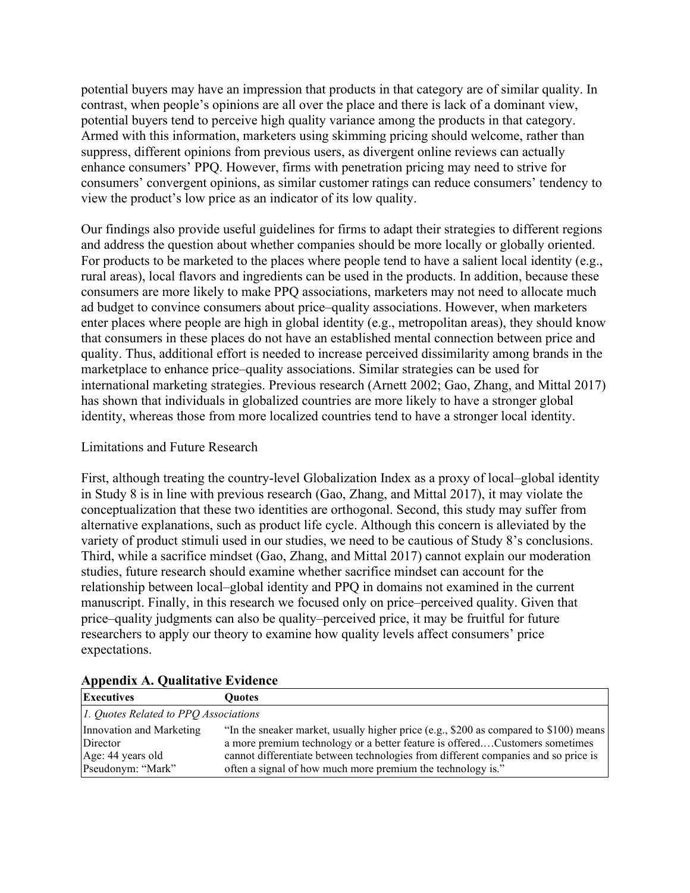potential buyers may have an impression that products in that category are of similar quality. In contrast, when people's opinions are all over the place and there is lack of a dominant view, potential buyers tend to perceive high quality variance among the products in that category. Armed with this information, marketers using skimming pricing should welcome, rather than suppress, different opinions from previous users, as divergent online reviews can actually enhance consumers' PPQ. However, firms with penetration pricing may need to strive for consumers' convergent opinions, as similar customer ratings can reduce consumers' tendency to view the product's low price as an indicator of its low quality.

Our findings also provide useful guidelines for firms to adapt their strategies to different regions and address the question about whether companies should be more locally or globally oriented. For products to be marketed to the places where people tend to have a salient local identity (e.g., rural areas), local flavors and ingredients can be used in the products. In addition, because these consumers are more likely to make PPQ associations, marketers may not need to allocate much ad budget to convince consumers about price–quality associations. However, when marketers enter places where people are high in global identity (e.g., metropolitan areas), they should know that consumers in these places do not have an established mental connection between price and quality. Thus, additional effort is needed to increase perceived dissimilarity among brands in the marketplace to enhance price–quality associations. Similar strategies can be used for international marketing strategies. Previous research (Arnett 2002; Gao, Zhang, and Mittal 2017) has shown that individuals in globalized countries are more likely to have a stronger global identity, whereas those from more localized countries tend to have a stronger local identity.

## Limitations and Future Research

First, although treating the country-level Globalization Index as a proxy of local–global identity in Study 8 is in line with previous research (Gao, Zhang, and Mittal 2017), it may violate the conceptualization that these two identities are orthogonal. Second, this study may suffer from alternative explanations, such as product life cycle. Although this concern is alleviated by the variety of product stimuli used in our studies, we need to be cautious of Study 8's conclusions. Third, while a sacrifice mindset (Gao, Zhang, and Mittal 2017) cannot explain our moderation studies, future research should examine whether sacrifice mindset can account for the relationship between local–global identity and PPQ in domains not examined in the current manuscript. Finally, in this research we focused only on price–perceived quality. Given that price–quality judgments can also be quality–perceived price, it may be fruitful for future researchers to apply our theory to examine how quality levels affect consumers' price expectations.

| <b>Executives</b>                     | Ouotes                                                                                |  |  |  |  |
|---------------------------------------|---------------------------------------------------------------------------------------|--|--|--|--|
| 1. Quotes Related to PPQ Associations |                                                                                       |  |  |  |  |
| Innovation and Marketing              | "In the sneaker market, usually higher price (e.g., \$200 as compared to \$100) means |  |  |  |  |
| Director                              | a more premium technology or a better feature is offeredCustomers sometimes           |  |  |  |  |
| Age: 44 years old                     | cannot differentiate between technologies from different companies and so price is    |  |  |  |  |
| Pseudonym: "Mark"                     | often a signal of how much more premium the technology is."                           |  |  |  |  |

#### **Appendix A. Qualitative Evidence**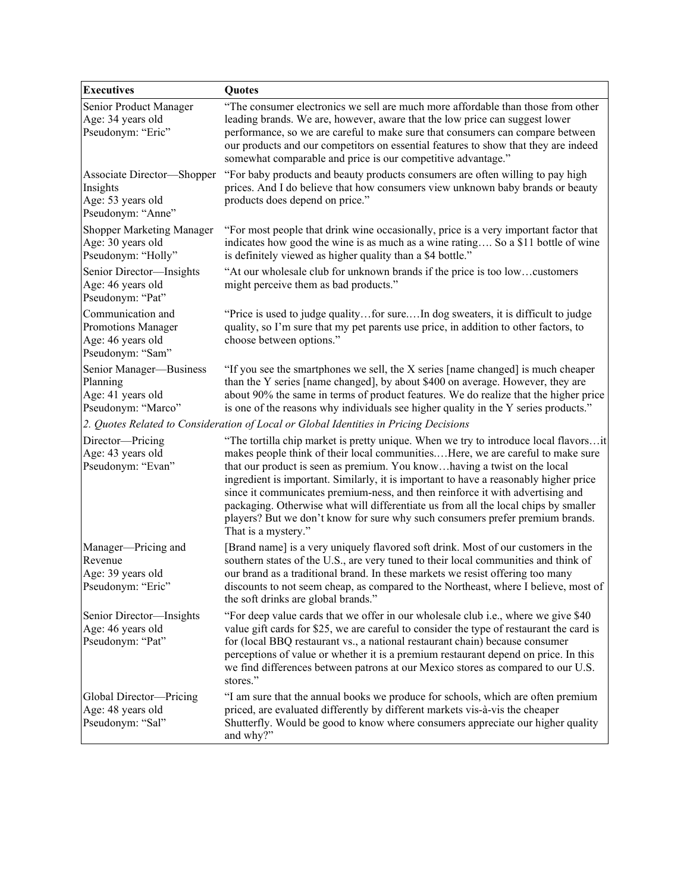| <b>Executives</b>                                                                | Quotes                                                                                                                                                                                                                                                                                                                                                                                                                                                                                                                                                                                                                       |  |
|----------------------------------------------------------------------------------|------------------------------------------------------------------------------------------------------------------------------------------------------------------------------------------------------------------------------------------------------------------------------------------------------------------------------------------------------------------------------------------------------------------------------------------------------------------------------------------------------------------------------------------------------------------------------------------------------------------------------|--|
| Senior Product Manager<br>Age: 34 years old<br>Pseudonym: "Eric"                 | "The consumer electronics we sell are much more affordable than those from other<br>leading brands. We are, however, aware that the low price can suggest lower<br>performance, so we are careful to make sure that consumers can compare between<br>our products and our competitors on essential features to show that they are indeed<br>somewhat comparable and price is our competitive advantage."                                                                                                                                                                                                                     |  |
| Associate Director-Shopper<br>Insights<br>Age: 53 years old<br>Pseudonym: "Anne" | "For baby products and beauty products consumers are often willing to pay high<br>prices. And I do believe that how consumers view unknown baby brands or beauty<br>products does depend on price."                                                                                                                                                                                                                                                                                                                                                                                                                          |  |
| Shopper Marketing Manager<br>Age: 30 years old<br>Pseudonym: "Holly"             | "For most people that drink wine occasionally, price is a very important factor that<br>indicates how good the wine is as much as a wine rating So a \$11 bottle of wine<br>is definitely viewed as higher quality than a \$4 bottle."                                                                                                                                                                                                                                                                                                                                                                                       |  |
| Senior Director-Insights<br>Age: 46 years old<br>Pseudonym: "Pat"                | "At our wholesale club for unknown brands if the price is too lowcustomers<br>might perceive them as bad products."                                                                                                                                                                                                                                                                                                                                                                                                                                                                                                          |  |
| Communication and<br>Promotions Manager<br>Age: 46 years old<br>Pseudonym: "Sam" | "Price is used to judge qualityfor sureIn dog sweaters, it is difficult to judge<br>quality, so I'm sure that my pet parents use price, in addition to other factors, to<br>choose between options."                                                                                                                                                                                                                                                                                                                                                                                                                         |  |
| Senior Manager-Business<br>Planning<br>Age: 41 years old<br>Pseudonym: "Marco"   | "If you see the smartphones we sell, the X series [name changed] is much cheaper<br>than the Y series [name changed], by about \$400 on average. However, they are<br>about 90% the same in terms of product features. We do realize that the higher price<br>is one of the reasons why individuals see higher quality in the Y series products."                                                                                                                                                                                                                                                                            |  |
|                                                                                  | 2. Quotes Related to Consideration of Local or Global Identities in Pricing Decisions                                                                                                                                                                                                                                                                                                                                                                                                                                                                                                                                        |  |
| Director-Pricing<br>Age: 43 years old<br>Pseudonym: "Evan"                       | "The tortilla chip market is pretty unique. When we try to introduce local flavorsit<br>makes people think of their local communitiesHere, we are careful to make sure<br>that our product is seen as premium. You knowhaving a twist on the local<br>ingredient is important. Similarly, it is important to have a reasonably higher price<br>since it communicates premium-ness, and then reinforce it with advertising and<br>packaging. Otherwise what will differentiate us from all the local chips by smaller<br>players? But we don't know for sure why such consumers prefer premium brands.<br>That is a mystery." |  |
| Manager-Pricing and<br>Revenue<br>Age: 39 years old<br>Pseudonym: "Eric"         | [Brand name] is a very uniquely flavored soft drink. Most of our customers in the<br>southern states of the U.S., are very tuned to their local communities and think of<br>our brand as a traditional brand. In these markets we resist offering too many<br>discounts to not seem cheap, as compared to the Northeast, where I believe, most of<br>the soft drinks are global brands."                                                                                                                                                                                                                                     |  |
| Senior Director-Insights<br>Age: 46 years old<br>Pseudonym: "Pat"                | "For deep value cards that we offer in our wholesale club i.e., where we give \$40<br>value gift cards for \$25, we are careful to consider the type of restaurant the card is<br>for (local BBQ restaurant vs., a national restaurant chain) because consumer<br>perceptions of value or whether it is a premium restaurant depend on price. In this<br>we find differences between patrons at our Mexico stores as compared to our U.S.<br>stores."                                                                                                                                                                        |  |
| Global Director-Pricing<br>Age: 48 years old<br>Pseudonym: "Sal"                 | "I am sure that the annual books we produce for schools, which are often premium<br>priced, are evaluated differently by different markets vis-à-vis the cheaper<br>Shutterfly. Would be good to know where consumers appreciate our higher quality<br>and why?"                                                                                                                                                                                                                                                                                                                                                             |  |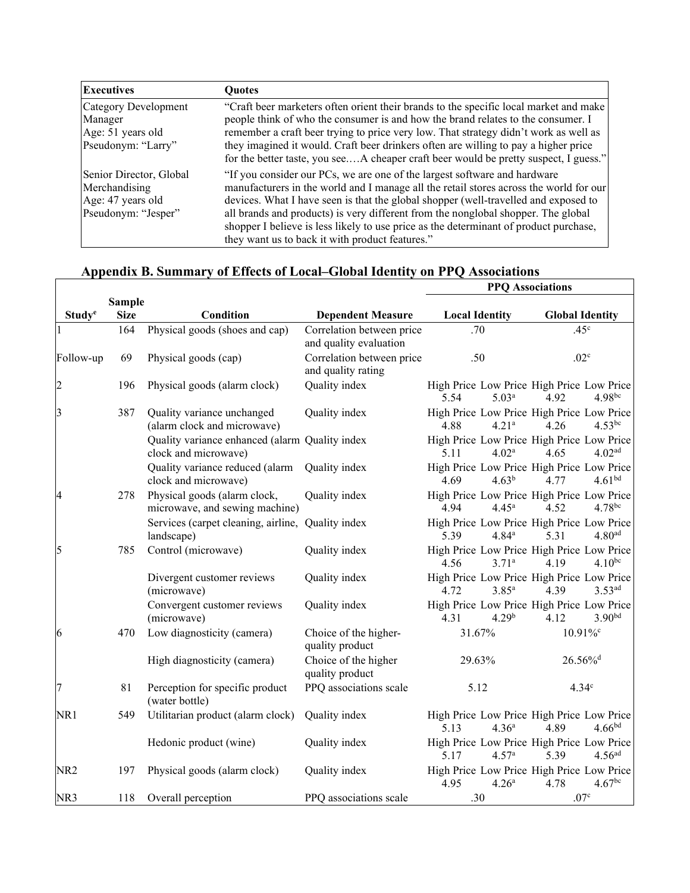| <b>Executives</b>                                                                    | Ouotes                                                                                                                                                                                                                                                                                                                                                                                                                                                                                      |
|--------------------------------------------------------------------------------------|---------------------------------------------------------------------------------------------------------------------------------------------------------------------------------------------------------------------------------------------------------------------------------------------------------------------------------------------------------------------------------------------------------------------------------------------------------------------------------------------|
| Category Development<br>Manager<br>Age: 51 years old<br>Pseudonym: "Larry"           | "Craft beer marketers often orient their brands to the specific local market and make<br>people think of who the consumer is and how the brand relates to the consumer. I<br>remember a craft beer trying to price very low. That strategy didn't work as well as<br>they imagined it would. Craft beer drinkers often are willing to pay a higher price<br>for the better taste, you seeA cheaper craft beer would be pretty suspect, I guess."                                            |
| Senior Director, Global<br>Merchandising<br>Age: 47 years old<br>Pseudonym: "Jesper" | "If you consider our PCs, we are one of the largest software and hardware<br>manufacturers in the world and I manage all the retail stores across the world for our<br>devices. What I have seen is that the global shopper (well-travelled and exposed to<br>all brands and products) is very different from the nonglobal shopper. The global<br>shopper I believe is less likely to use price as the determinant of product purchase,<br>they want us to back it with product features." |

## **Appendix B. Summary of Effects of Local–Global Identity on PPQ Associations**

|                           |                              |                                                                        |                                                     | <b>PPQ</b> Associations   |                                                                           |
|---------------------------|------------------------------|------------------------------------------------------------------------|-----------------------------------------------------|---------------------------|---------------------------------------------------------------------------|
| <b>Study</b> <sup>e</sup> | <b>Sample</b><br><b>Size</b> | Condition                                                              | <b>Dependent Measure</b>                            | <b>Local Identity</b>     | <b>Global Identity</b>                                                    |
|                           | 164                          | Physical goods (shoes and cap)                                         | Correlation between price<br>and quality evaluation | .70                       | .45 <sup>c</sup>                                                          |
| Follow-up                 | 69                           | Physical goods (cap)                                                   | Correlation between price<br>and quality rating     | .50                       | .02 <sup>c</sup>                                                          |
|                           | 196                          | Physical goods (alarm clock)                                           | Quality index                                       | 5.54<br>5.03 <sup>a</sup> | High Price Low Price High Price Low Price<br>4.98 <sup>bc</sup><br>4.92   |
| З                         | 387                          | Quality variance unchanged<br>(alarm clock and microwave)              | Quality index                                       | 4.21 <sup>a</sup><br>4.88 | High Price Low Price High Price Low Price<br>4.26<br>$4.53^{bc}$          |
|                           |                              | Quality variance enhanced (alarm Quality index<br>clock and microwave) |                                                     | 4.02 <sup>a</sup><br>5.11 | High Price Low Price High Price Low Price<br>4.02 <sup>ad</sup><br>4.65   |
|                           |                              | Quality variance reduced (alarm<br>clock and microwave)                | Quality index                                       | $4.63^{b}$<br>4.69        | High Price Low Price High Price Low Price<br>4.61 <sup>bd</sup><br>4.77   |
|                           | 278                          | Physical goods (alarm clock,<br>microwave, and sewing machine)         | Quality index                                       | 4.94<br>$4.45^{\rm a}$    | High Price Low Price High Price Low Price<br>$4.78^{bc}$<br>4.52          |
|                           |                              | Services (carpet cleaning, airline, Quality index<br>landscape)        |                                                     | 5.39<br>4.84 <sup>a</sup> | High Price Low Price High Price Low Price<br>4.80 <sup>ad</sup><br>5.31   |
| 5                         | 785                          | Control (microwave)                                                    | Quality index                                       | 3.71 <sup>a</sup><br>4.56 | High Price Low Price High Price Low Price<br>$4.10^{bc}$<br>4.19          |
|                           |                              | Divergent customer reviews<br>(microwave)                              | Quality index                                       | $3.85^{a}$<br>4.72        | High Price Low Price High Price Low Price<br>$3.53$ <sup>ad</sup><br>4.39 |
|                           |                              | Convergent customer reviews<br>(microwave)                             | Quality index                                       | 4.31<br>4.29 <sup>b</sup> | High Price Low Price High Price Low Price<br>3.90 <sup>bd</sup><br>4.12   |
| 6                         | 470                          | Low diagnosticity (camera)                                             | Choice of the higher-<br>quality product            | 31.67%                    | $10.91\%$ c                                                               |
|                           |                              | High diagnosticity (camera)                                            | Choice of the higher<br>quality product             | 29.63%                    | $26.56\%$ <sup>d</sup>                                                    |
| 7                         | 81                           | Perception for specific product<br>(water bottle)                      | PPQ associations scale                              | 5.12                      | 4.34 <sup>c</sup>                                                         |
| NR1                       | 549                          | Utilitarian product (alarm clock)                                      | Quality index                                       | 4.36 <sup>a</sup><br>5.13 | High Price Low Price High Price Low Price<br>4.89<br>4.66 <sup>bd</sup>   |
|                           |                              | Hedonic product (wine)                                                 | Quality index                                       | 5.17<br>4.57 <sup>a</sup> | High Price Low Price High Price Low Price<br>5.39<br>4.56 <sup>ad</sup>   |
| NR <sub>2</sub>           | 197                          | Physical goods (alarm clock)                                           | Quality index                                       | 4.26 <sup>a</sup><br>4.95 | High Price Low Price High Price Low Price<br>4.67 <sup>bc</sup><br>4.78   |
| NR3                       | 118                          | Overall perception                                                     | PPQ associations scale                              | .30                       | .07 <sup>c</sup>                                                          |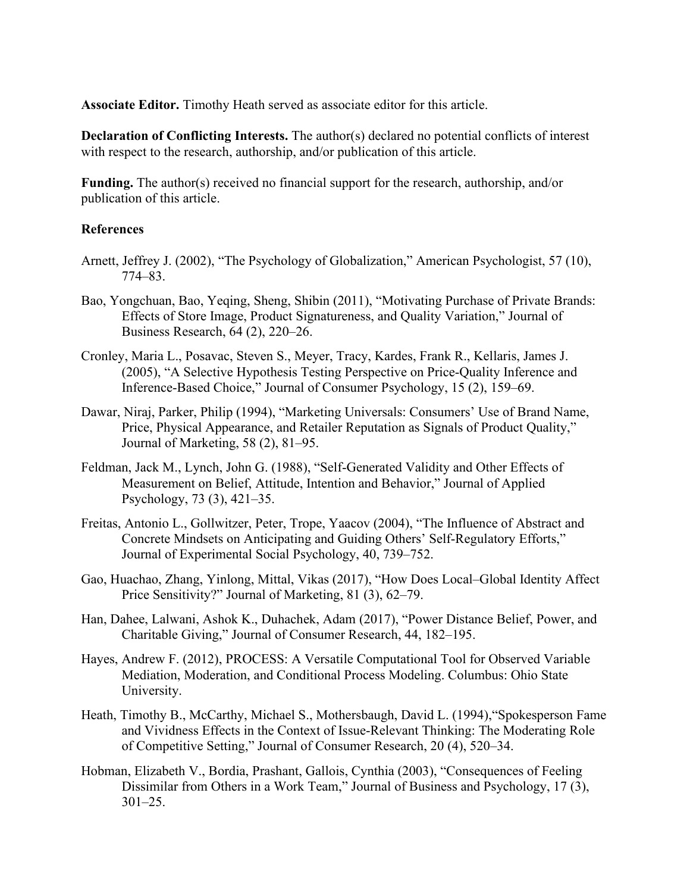**Associate Editor.** Timothy Heath served as associate editor for this article.

**Declaration of Conflicting Interests.** The author(s) declared no potential conflicts of interest with respect to the research, authorship, and/or publication of this article.

**Funding.** The author(s) received no financial support for the research, authorship, and/or publication of this article.

## **References**

- Arnett, Jeffrey J. (2002), "The Psychology of Globalization," American Psychologist, 57 (10), 774–83.
- Bao, Yongchuan, Bao, Yeqing, Sheng, Shibin (2011), "Motivating Purchase of Private Brands: Effects of Store Image, Product Signatureness, and Quality Variation," Journal of Business Research, 64 (2), 220–26.
- Cronley, Maria L., Posavac, Steven S., Meyer, Tracy, Kardes, Frank R., Kellaris, James J. (2005), "A Selective Hypothesis Testing Perspective on Price-Quality Inference and Inference-Based Choice," Journal of Consumer Psychology, 15 (2), 159–69.
- Dawar, Niraj, Parker, Philip (1994), "Marketing Universals: Consumers' Use of Brand Name, Price, Physical Appearance, and Retailer Reputation as Signals of Product Quality," Journal of Marketing, 58 (2), 81–95.
- Feldman, Jack M., Lynch, John G. (1988), "Self-Generated Validity and Other Effects of Measurement on Belief, Attitude, Intention and Behavior," Journal of Applied Psychology, 73 (3), 421–35.
- Freitas, Antonio L., Gollwitzer, Peter, Trope, Yaacov (2004), "The Influence of Abstract and Concrete Mindsets on Anticipating and Guiding Others' Self-Regulatory Efforts," Journal of Experimental Social Psychology, 40, 739–752.
- Gao, Huachao, Zhang, Yinlong, Mittal, Vikas (2017), "How Does Local–Global Identity Affect Price Sensitivity?" Journal of Marketing, 81 (3), 62–79.
- Han, Dahee, Lalwani, Ashok K., Duhachek, Adam (2017), "Power Distance Belief, Power, and Charitable Giving," Journal of Consumer Research, 44, 182–195.
- Hayes, Andrew F. (2012), PROCESS: A Versatile Computational Tool for Observed Variable Mediation, Moderation, and Conditional Process Modeling. Columbus: Ohio State University.
- Heath, Timothy B., McCarthy, Michael S., Mothersbaugh, David L. (1994),"Spokesperson Fame and Vividness Effects in the Context of Issue-Relevant Thinking: The Moderating Role of Competitive Setting," Journal of Consumer Research, 20 (4), 520–34.
- Hobman, Elizabeth V., Bordia, Prashant, Gallois, Cynthia (2003), "Consequences of Feeling Dissimilar from Others in a Work Team," Journal of Business and Psychology, 17 (3), 301–25.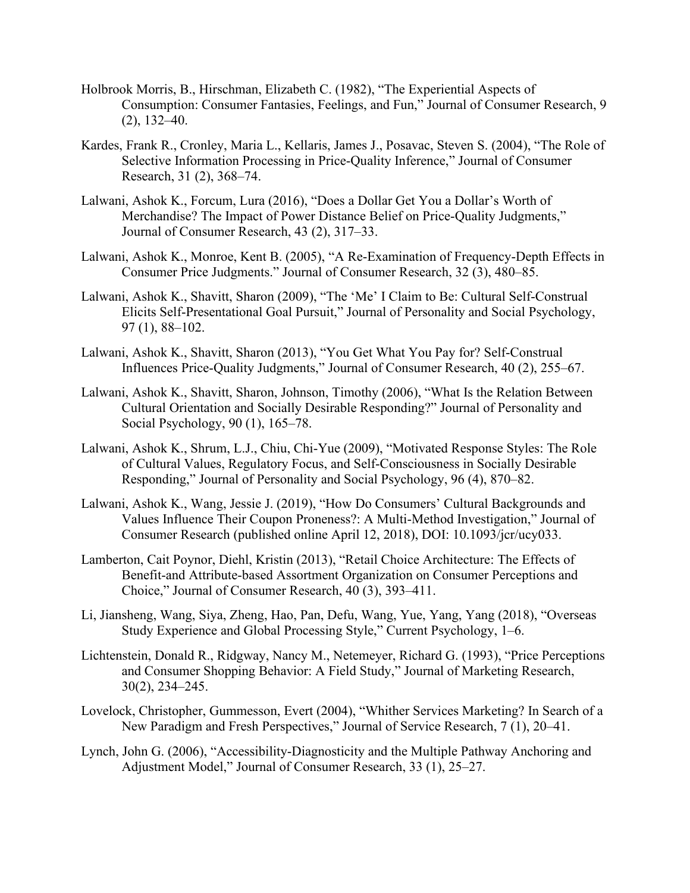- Holbrook Morris, B., Hirschman, Elizabeth C. (1982), "The Experiential Aspects of Consumption: Consumer Fantasies, Feelings, and Fun," Journal of Consumer Research, 9 (2), 132–40.
- Kardes, Frank R., Cronley, Maria L., Kellaris, James J., Posavac, Steven S. (2004), "The Role of Selective Information Processing in Price-Quality Inference," Journal of Consumer Research, 31 (2), 368–74.
- Lalwani, Ashok K., Forcum, Lura (2016), "Does a Dollar Get You a Dollar's Worth of Merchandise? The Impact of Power Distance Belief on Price-Quality Judgments," Journal of Consumer Research, 43 (2), 317–33.
- Lalwani, Ashok K., Monroe, Kent B. (2005), "A Re-Examination of Frequency-Depth Effects in Consumer Price Judgments." Journal of Consumer Research, 32 (3), 480–85.
- Lalwani, Ashok K., Shavitt, Sharon (2009), "The 'Me' I Claim to Be: Cultural Self-Construal Elicits Self-Presentational Goal Pursuit," Journal of Personality and Social Psychology, 97 (1), 88–102.
- Lalwani, Ashok K., Shavitt, Sharon (2013), "You Get What You Pay for? Self-Construal Influences Price-Quality Judgments," Journal of Consumer Research, 40 (2), 255–67.
- Lalwani, Ashok K., Shavitt, Sharon, Johnson, Timothy (2006), "What Is the Relation Between Cultural Orientation and Socially Desirable Responding?" Journal of Personality and Social Psychology, 90 (1), 165–78.
- Lalwani, Ashok K., Shrum, L.J., Chiu, Chi-Yue (2009), "Motivated Response Styles: The Role of Cultural Values, Regulatory Focus, and Self-Consciousness in Socially Desirable Responding," Journal of Personality and Social Psychology, 96 (4), 870–82.
- Lalwani, Ashok K., Wang, Jessie J. (2019), "How Do Consumers' Cultural Backgrounds and Values Influence Their Coupon Proneness?: A Multi-Method Investigation," Journal of Consumer Research (published online April 12, 2018), DOI: 10.1093/jcr/ucy033.
- Lamberton, Cait Poynor, Diehl, Kristin (2013), "Retail Choice Architecture: The Effects of Benefit-and Attribute-based Assortment Organization on Consumer Perceptions and Choice," Journal of Consumer Research, 40 (3), 393–411.
- Li, Jiansheng, Wang, Siya, Zheng, Hao, Pan, Defu, Wang, Yue, Yang, Yang (2018), "Overseas Study Experience and Global Processing Style," Current Psychology, 1–6.
- Lichtenstein, Donald R., Ridgway, Nancy M., Netemeyer, Richard G. (1993), "Price Perceptions and Consumer Shopping Behavior: A Field Study," Journal of Marketing Research, 30(2), 234–245.
- Lovelock, Christopher, Gummesson, Evert (2004), "Whither Services Marketing? In Search of a New Paradigm and Fresh Perspectives," Journal of Service Research, 7 (1), 20–41.
- Lynch, John G. (2006), "Accessibility-Diagnosticity and the Multiple Pathway Anchoring and Adjustment Model," Journal of Consumer Research, 33 (1), 25–27.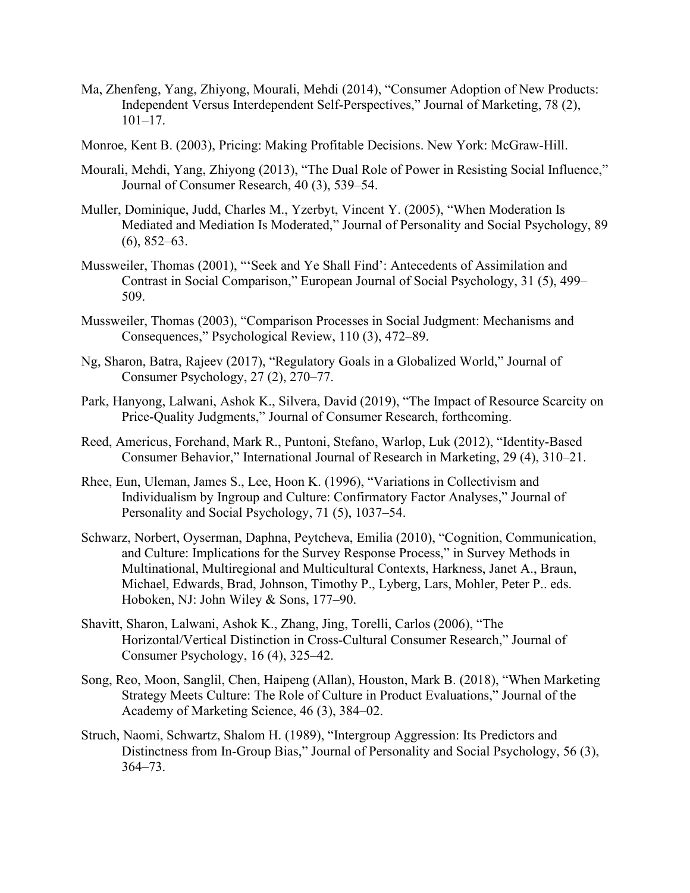- Ma, Zhenfeng, Yang, Zhiyong, Mourali, Mehdi (2014), "Consumer Adoption of New Products: Independent Versus Interdependent Self-Perspectives," Journal of Marketing, 78 (2), 101–17.
- Monroe, Kent B. (2003), Pricing: Making Profitable Decisions. New York: McGraw-Hill.
- Mourali, Mehdi, Yang, Zhiyong (2013), "The Dual Role of Power in Resisting Social Influence," Journal of Consumer Research, 40 (3), 539–54.
- Muller, Dominique, Judd, Charles M., Yzerbyt, Vincent Y. (2005), "When Moderation Is Mediated and Mediation Is Moderated," Journal of Personality and Social Psychology, 89 (6), 852–63.
- Mussweiler, Thomas (2001), "'Seek and Ye Shall Find': Antecedents of Assimilation and Contrast in Social Comparison," European Journal of Social Psychology, 31 (5), 499– 509.
- Mussweiler, Thomas (2003), "Comparison Processes in Social Judgment: Mechanisms and Consequences," Psychological Review, 110 (3), 472–89.
- Ng, Sharon, Batra, Rajeev (2017), "Regulatory Goals in a Globalized World," Journal of Consumer Psychology, 27 (2), 270–77.
- Park, Hanyong, Lalwani, Ashok K., Silvera, David (2019), "The Impact of Resource Scarcity on Price-Quality Judgments," Journal of Consumer Research, forthcoming.
- Reed, Americus, Forehand, Mark R., Puntoni, Stefano, Warlop, Luk (2012), "Identity-Based Consumer Behavior," International Journal of Research in Marketing, 29 (4), 310–21.
- Rhee, Eun, Uleman, James S., Lee, Hoon K. (1996), "Variations in Collectivism and Individualism by Ingroup and Culture: Confirmatory Factor Analyses," Journal of Personality and Social Psychology, 71 (5), 1037–54.
- Schwarz, Norbert, Oyserman, Daphna, Peytcheva, Emilia (2010), "Cognition, Communication, and Culture: Implications for the Survey Response Process," in Survey Methods in Multinational, Multiregional and Multicultural Contexts, Harkness, Janet A., Braun, Michael, Edwards, Brad, Johnson, Timothy P., Lyberg, Lars, Mohler, Peter P.. eds. Hoboken, NJ: John Wiley & Sons, 177–90.
- Shavitt, Sharon, Lalwani, Ashok K., Zhang, Jing, Torelli, Carlos (2006), "The Horizontal/Vertical Distinction in Cross-Cultural Consumer Research," Journal of Consumer Psychology, 16 (4), 325–42.
- Song, Reo, Moon, Sanglil, Chen, Haipeng (Allan), Houston, Mark B. (2018), "When Marketing Strategy Meets Culture: The Role of Culture in Product Evaluations," Journal of the Academy of Marketing Science, 46 (3), 384–02.
- Struch, Naomi, Schwartz, Shalom H. (1989), "Intergroup Aggression: Its Predictors and Distinctness from In-Group Bias," Journal of Personality and Social Psychology, 56 (3), 364–73.